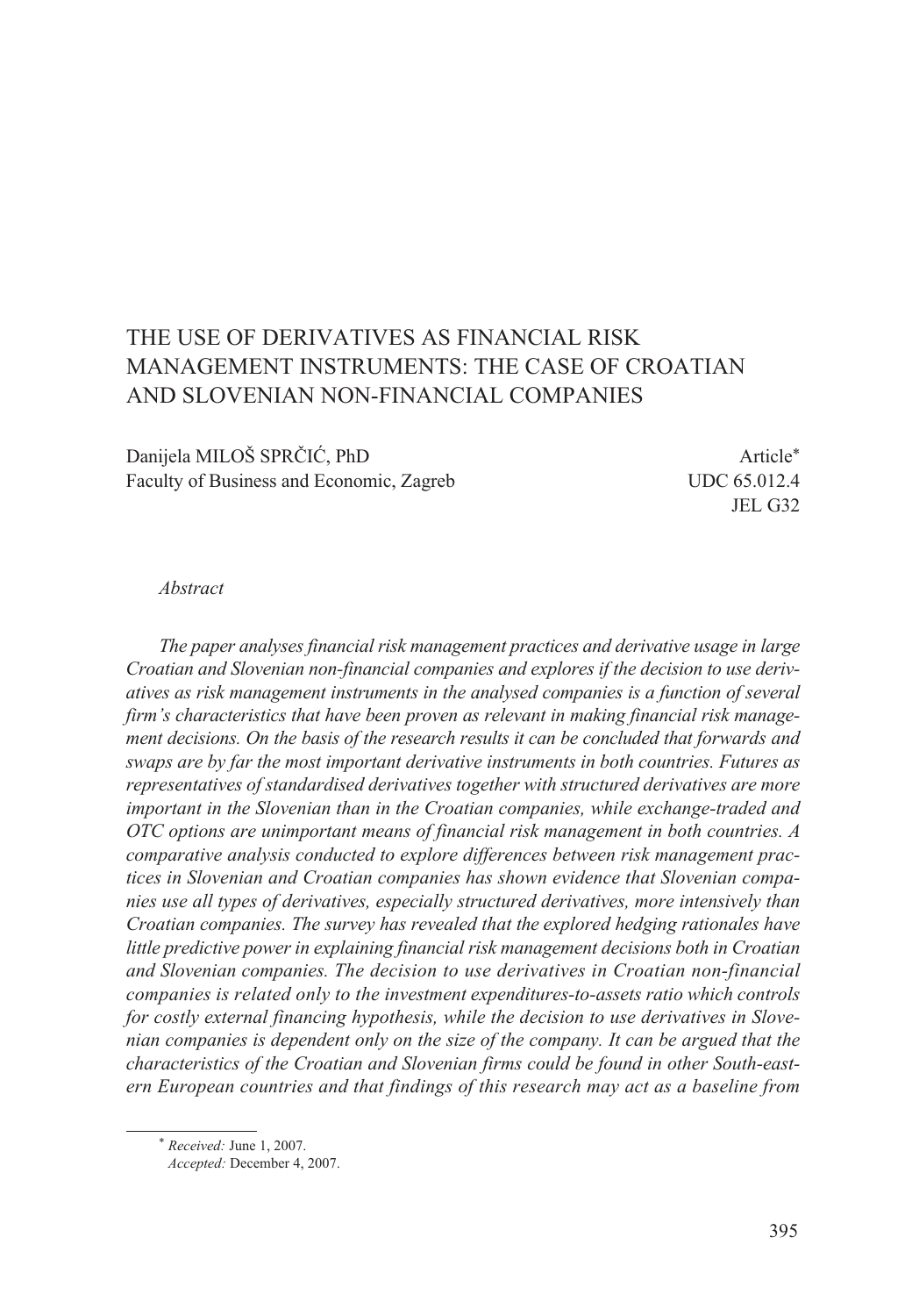# THE USE OF DERIVATIVES AS FINANCIAL RISK MANAGEMENT INSTRUMENTS: THE CASE OF CROATIAN AND SLOVENIAN NON-FINANCIAL COMPANIES

Danijela MILOŠ SPRČIĆ, PhD Article<sup>\*</sup> Faculty of Business and Economic, Zagreb UDC 65.012.4

JEL G32

#### *Abstract*

*The paper analyses financial risk management practices and derivative usage in large Croatian and Slovenian non-financial companies and explores if the decision to use derivatives as risk management instruments in the analysed companies is a function of several firm's characteristics that have been proven as relevant in making financial risk management decisions. On the basis of the research results it can be concluded that forwards and swaps are by far the most important derivative instruments in both countries. Futures as representatives of standardised derivatives together with structured derivatives are more important in the Slovenian than in the Croatian companies, while exchange-traded and OTC options are unimportant means of financial risk management in both countries. A comparative analysis conducted to explore differences between risk management practices in Slovenian and Croatian companies has shown evidence that Slovenian companies use all types of derivatives, especially structured derivatives, more intensively than Croatian companies. The survey has revealed that the explored hedging rationales have little predictive power in explaining financial risk management decisions both in Croatian and Slovenian companies. The decision to use derivatives in Croatian non-financial companies is related only to the investment expenditures-to-assets ratio which controls for costly external financing hypothesis, while the decision to use derivatives in Slovenian companies is dependent only on the size of the company. It can be argued that the characteristics of the Croatian and Slovenian firms could be found in other South-eastern European countries and that findings of this research may act as a baseline from* 

<sup>\*</sup> *Received:* June 1, 2007.

*Accepted:* December 4, 2007.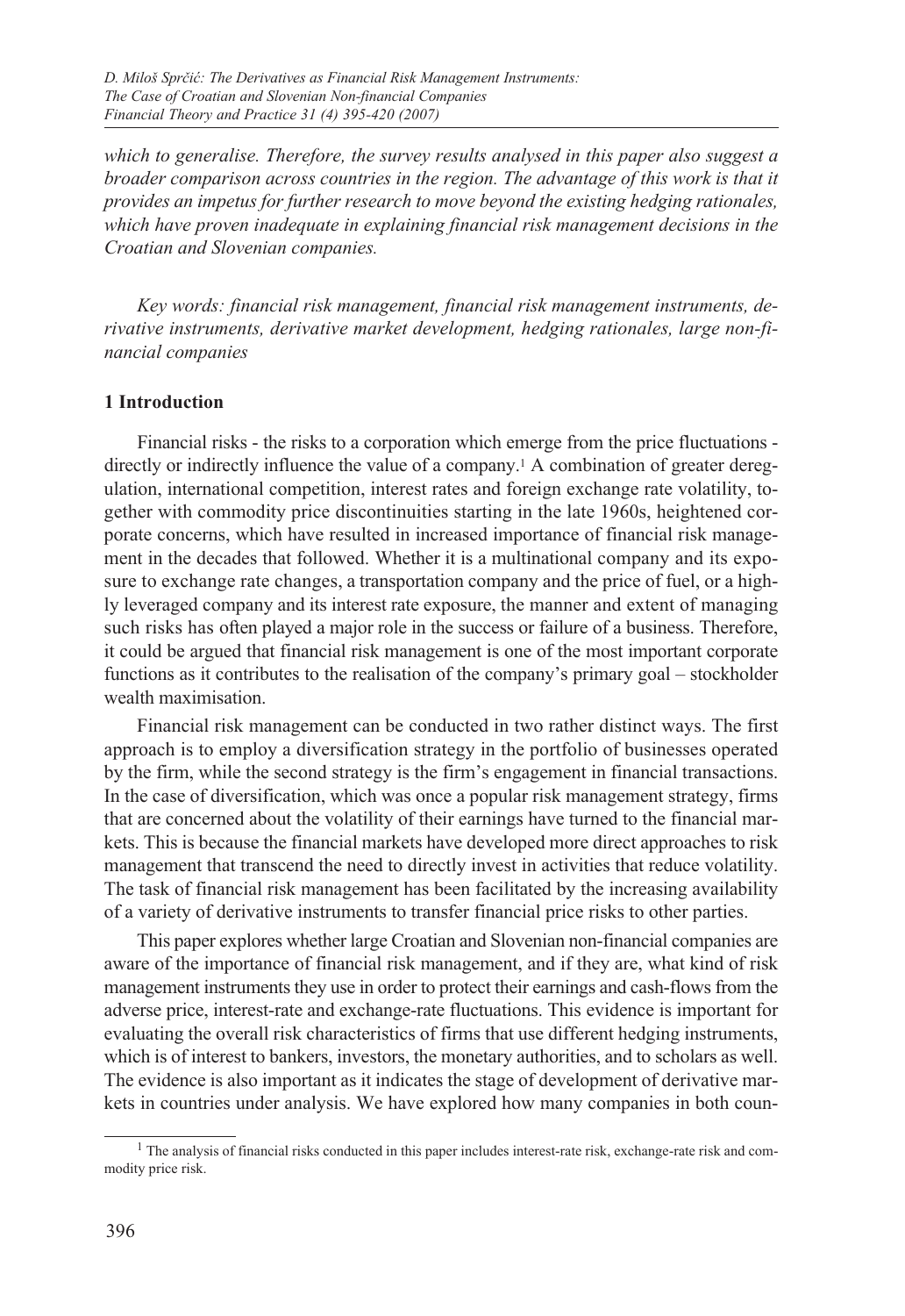*which to generalise. Therefore, the survey results analysed in this paper also suggest a broader comparison across countries in the region. The advantage of this work is that it provides an impetus for further research to move beyond the existing hedging rationales, which have proven inadequate in explaining financial risk management decisions in the Croatian and Slovenian companies.*

*Key words: financial risk management, financial risk management instruments, derivative instruments, derivative market development, hedging rationales, large non-financial companies* 

#### **1 Introduction**

Financial risks - the risks to a corporation which emerge from the price fluctuations directly or indirectly influence the value of a company.1 A combination of greater deregulation, international competition, interest rates and foreign exchange rate volatility, together with commodity price discontinuities starting in the late 1960s, heightened corporate concerns, which have resulted in increased importance of financial risk management in the decades that followed. Whether it is a multinational company and its exposure to exchange rate changes, a transportation company and the price of fuel, or a highly leveraged company and its interest rate exposure, the manner and extent of managing such risks has often played a major role in the success or failure of a business. Therefore, it could be argued that financial risk management is one of the most important corporate functions as it contributes to the realisation of the company's primary goal – stockholder wealth maximisation.

Financial risk management can be conducted in two rather distinct ways. The first approach is to employ a diversification strategy in the portfolio of businesses operated by the firm, while the second strategy is the firm's engagement in financial transactions. In the case of diversification, which was once a popular risk management strategy, firms that are concerned about the volatility of their earnings have turned to the financial markets. This is because the financial markets have developed more direct approaches to risk management that transcend the need to directly invest in activities that reduce volatility. The task of financial risk management has been facilitated by the increasing availability of a variety of derivative instruments to transfer financial price risks to other parties.

This paper explores whether large Croatian and Slovenian non-financial companies are aware of the importance of financial risk management, and if they are, what kind of risk management instruments they use in order to protect their earnings and cash-flows from the adverse price, interest-rate and exchange-rate fluctuations. This evidence is important for evaluating the overall risk characteristics of firms that use different hedging instruments, which is of interest to bankers, investors, the monetary authorities, and to scholars as well. The evidence is also important as it indicates the stage of development of derivative markets in countries under analysis. We have explored how many companies in both coun-

<sup>&</sup>lt;sup>1</sup> The analysis of financial risks conducted in this paper includes interest-rate risk, exchange-rate risk and commodity price risk.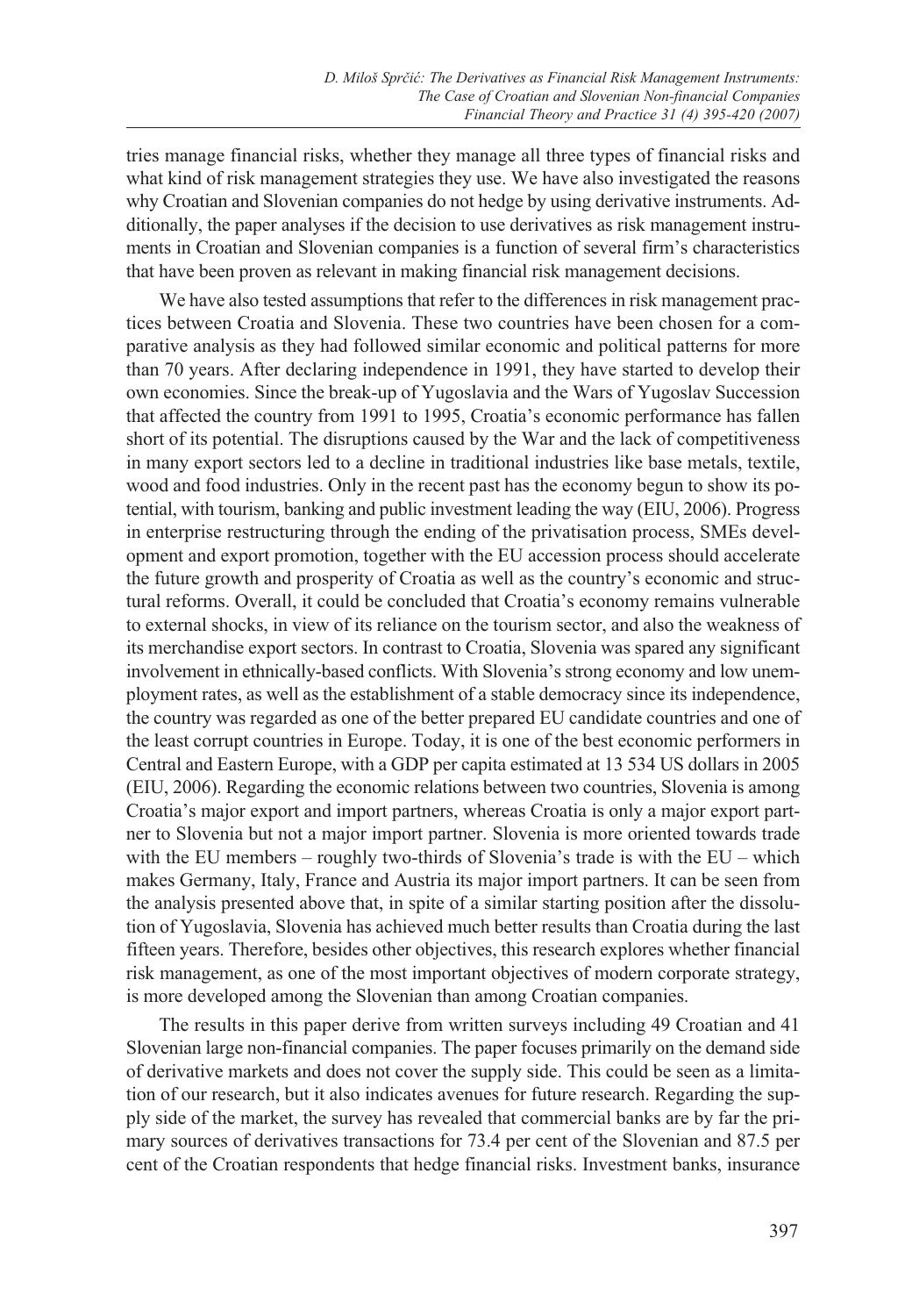tries manage financial risks, whether they manage all three types of financial risks and what kind of risk management strategies they use. We have also investigated the reasons why Croatian and Slovenian companies do not hedge by using derivative instruments. Additionally, the paper analyses if the decision to use derivatives as risk management instruments in Croatian and Slovenian companies is a function of several firm's characteristics that have been proven as relevant in making financial risk management decisions.

We have also tested assumptions that refer to the differences in risk management practices between Croatia and Slovenia. These two countries have been chosen for a comparative analysis as they had followed similar economic and political patterns for more than 70 years. After declaring independence in 1991, they have started to develop their own economies. Since the break-up of Yugoslavia and the Wars of Yugoslav Succession that affected the country from 1991 to 1995, Croatia's economic performance has fallen short of its potential. The disruptions caused by the War and the lack of competitiveness in many export sectors led to a decline in traditional industries like base metals, textile, wood and food industries. Only in the recent past has the economy begun to show its potential, with tourism, banking and public investment leading the way (EIU, 2006). Progress in enterprise restructuring through the ending of the privatisation process, SMEs development and export promotion, together with the EU accession process should accelerate the future growth and prosperity of Croatia as well as the country's economic and structural reforms. Overall, it could be concluded that Croatia's economy remains vulnerable to external shocks, in view of its reliance on the tourism sector, and also the weakness of its merchandise export sectors. In contrast to Croatia, Slovenia was spared any significant involvement in ethnically-based conflicts. With Slovenia's strong economy and low unemployment rates, as well as the establishment of a stable democracy since its independence, the country was regarded as one of the better prepared EU candidate countries and one of the least corrupt countries in Europe. Today, it is one of the best economic performers in Central and Eastern Europe, with a GDP per capita estimated at 13 534 US dollars in 2005 (EIU, 2006). Regarding the economic relations between two countries, Slovenia is among Croatia's major export and import partners, whereas Croatia is only a major export partner to Slovenia but not a major import partner. Slovenia is more oriented towards trade with the EU members – roughly two-thirds of Slovenia's trade is with the  $EU$  – which makes Germany, Italy, France and Austria its major import partners. It can be seen from the analysis presented above that, in spite of a similar starting position after the dissolution of Yugoslavia, Slovenia has achieved much better results than Croatia during the last fifteen years. Therefore, besides other objectives, this research explores whether financial risk management, as one of the most important objectives of modern corporate strategy, is more developed among the Slovenian than among Croatian companies.

The results in this paper derive from written surveys including 49 Croatian and 41 Slovenian large non-financial companies. The paper focuses primarily on the demand side of derivative markets and does not cover the supply side. This could be seen as a limitation of our research, but it also indicates avenues for future research. Regarding the supply side of the market, the survey has revealed that commercial banks are by far the primary sources of derivatives transactions for 73.4 per cent of the Slovenian and 87.5 per cent of the Croatian respondents that hedge financial risks. Investment banks, insurance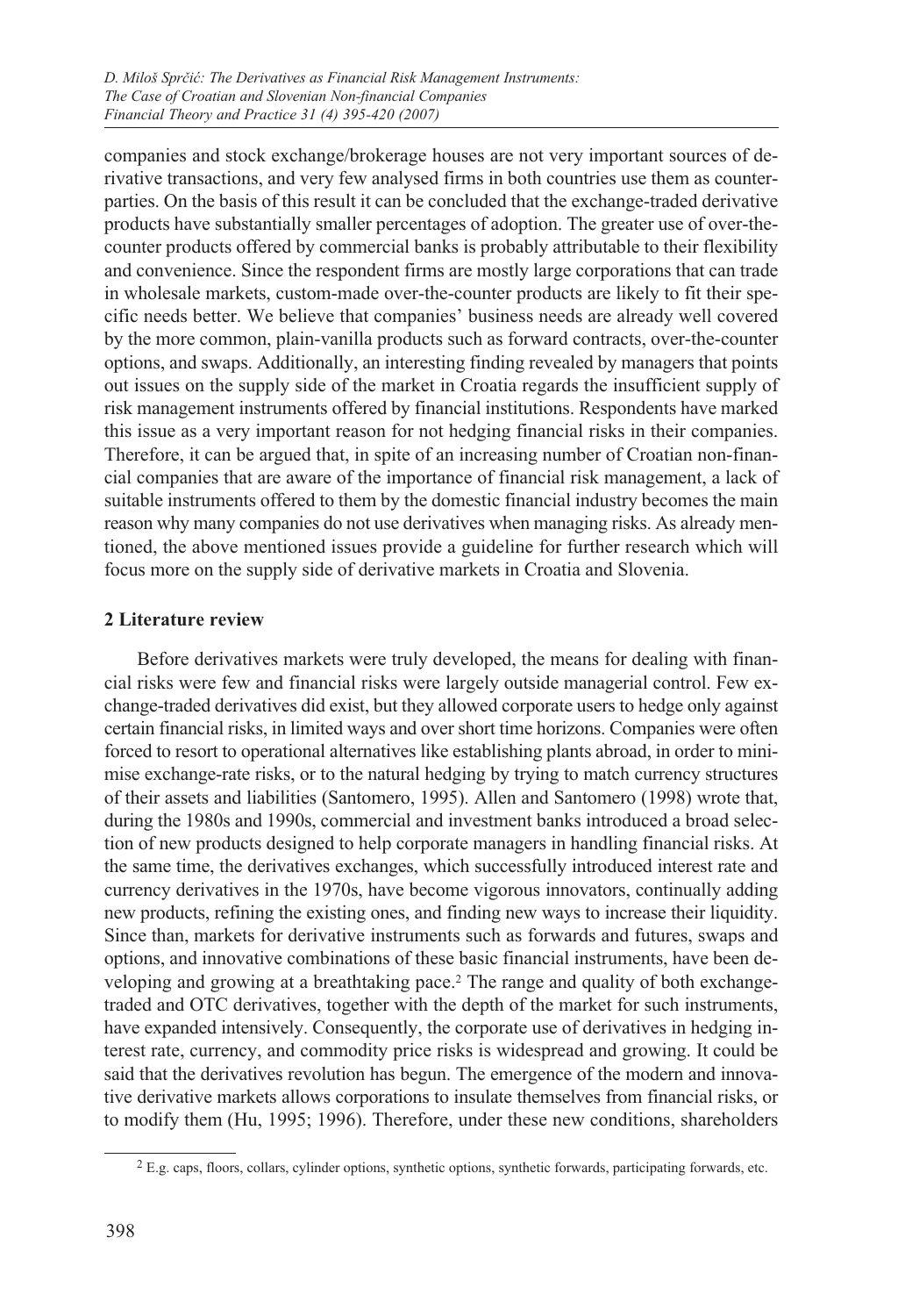companies and stock exchange/brokerage houses are not very important sources of derivative transactions, and very few analysed firms in both countries use them as counterparties. On the basis of this result it can be concluded that the exchange-traded derivative products have substantially smaller percentages of adoption. The greater use of over-thecounter products offered by commercial banks is probably attributable to their flexibility and convenience. Since the respondent firms are mostly large corporations that can trade in wholesale markets, custom-made over-the-counter products are likely to fit their specific needs better. We believe that companies' business needs are already well covered by the more common, plain-vanilla products such as forward contracts, over-the-counter options, and swaps. Additionally, an interesting finding revealed by managers that points out issues on the supply side of the market in Croatia regards the insufficient supply of risk management instruments offered by financial institutions. Respondents have marked this issue as a very important reason for not hedging financial risks in their companies. Therefore, it can be argued that, in spite of an increasing number of Croatian non-financial companies that are aware of the importance of financial risk management, a lack of suitable instruments offered to them by the domestic financial industry becomes the main reason why many companies do not use derivatives when managing risks. As already mentioned, the above mentioned issues provide a guideline for further research which will focus more on the supply side of derivative markets in Croatia and Slovenia.

## **2 Literature review**

Before derivatives markets were truly developed, the means for dealing with financial risks were few and financial risks were largely outside managerial control. Few exchange-traded derivatives did exist, but they allowed corporate users to hedge only against certain financial risks, in limited ways and over short time horizons. Companies were often forced to resort to operational alternatives like establishing plants abroad, in order to minimise exchange-rate risks, or to the natural hedging by trying to match currency structures of their assets and liabilities (Santomero, 1995). Allen and Santomero (1998) wrote that, during the 1980s and 1990s, commercial and investment banks introduced a broad selection of new products designed to help corporate managers in handling financial risks. At the same time, the derivatives exchanges, which successfully introduced interest rate and currency derivatives in the 1970s, have become vigorous innovators, continually adding new products, refining the existing ones, and finding new ways to increase their liquidity. Since than, markets for derivative instruments such as forwards and futures, swaps and options, and innovative combinations of these basic financial instruments, have been developing and growing at a breathtaking pace.2 The range and quality of both exchangetraded and OTC derivatives, together with the depth of the market for such instruments, have expanded intensively. Consequently, the corporate use of derivatives in hedging interest rate, currency, and commodity price risks is widespread and growing. It could be said that the derivatives revolution has begun. The emergence of the modern and innovative derivative markets allows corporations to insulate themselves from financial risks, or to modify them (Hu, 1995; 1996). Therefore, under these new conditions, shareholders

<sup>2</sup> E.g. caps, floors, collars, cylinder options, synthetic options, synthetic forwards, participating forwards, etc.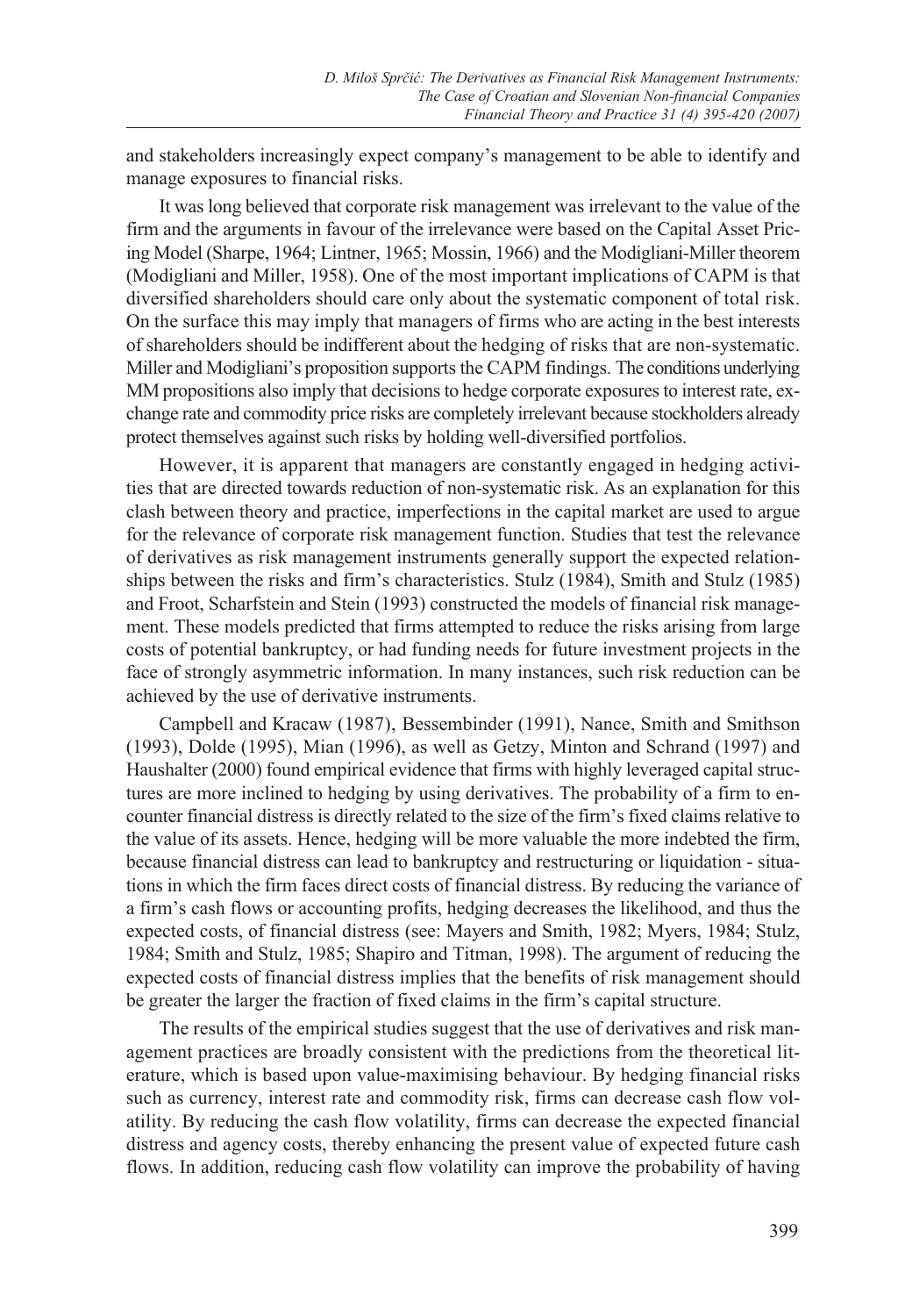and stakeholders increasingly expect company's management to be able to identify and manage exposures to financial risks.

It was long believed that corporate risk management was irrelevant to the value of the firm and the arguments in favour of the irrelevance were based on the Capital Asset Pricing Model (Sharpe, 1964; Lintner, 1965; Mossin, 1966) and the Modigliani-Miller theorem (Modigliani and Miller, 1958). One of the most important implications of CAPM is that diversified shareholders should care only about the systematic component of total risk. On the surface this may imply that managers of firms who are acting in the best interests of shareholders should be indifferent about the hedging of risks that are non-systematic. Miller and Modigliani's proposition supports the CAPM findings. The conditions underlying MM propositions also imply that decisions to hedge corporate exposures to interest rate, exchange rate and commodity price risks are completely irrelevant because stockholders already protect themselves against such risks by holding well-diversified portfolios.

However, it is apparent that managers are constantly engaged in hedging activities that are directed towards reduction of non-systematic risk. As an explanation for this clash between theory and practice, imperfections in the capital market are used to argue for the relevance of corporate risk management function. Studies that test the relevance of derivatives as risk management instruments generally support the expected relationships between the risks and firm's characteristics. Stulz (1984), Smith and Stulz (1985) and Froot, Scharfstein and Stein (1993) constructed the models of financial risk management. These models predicted that firms attempted to reduce the risks arising from large costs of potential bankruptcy, or had funding needs for future investment projects in the face of strongly asymmetric information. In many instances, such risk reduction can be achieved by the use of derivative instruments.

Campbell and Kracaw (1987), Bessembinder (1991), Nance, Smith and Smithson (1993), Dolde (1995), Mian (1996), as well as Getzy, Minton and Schrand (1997) and Haushalter (2000) found empirical evidence that firms with highly leveraged capital structures are more inclined to hedging by using derivatives. The probability of a firm to encounter financial distress is directly related to the size of the firm's fixed claims relative to the value of its assets. Hence, hedging will be more valuable the more indebted the firm, because financial distress can lead to bankruptcy and restructuring or liquidation - situations in which the firm faces direct costs of financial distress. By reducing the variance of a firm's cash flows or accounting profits, hedging decreases the likelihood, and thus the expected costs, of financial distress (see: Mayers and Smith, 1982; Myers, 1984; Stulz, 1984; Smith and Stulz, 1985; Shapiro and Titman, 1998). The argument of reducing the expected costs of financial distress implies that the benefits of risk management should be greater the larger the fraction of fixed claims in the firm's capital structure.

The results of the empirical studies suggest that the use of derivatives and risk management practices are broadly consistent with the predictions from the theoretical literature, which is based upon value-maximising behaviour. By hedging financial risks such as currency, interest rate and commodity risk, firms can decrease cash flow volatility. By reducing the cash flow volatility, firms can decrease the expected financial distress and agency costs, thereby enhancing the present value of expected future cash flows. In addition, reducing cash flow volatility can improve the probability of having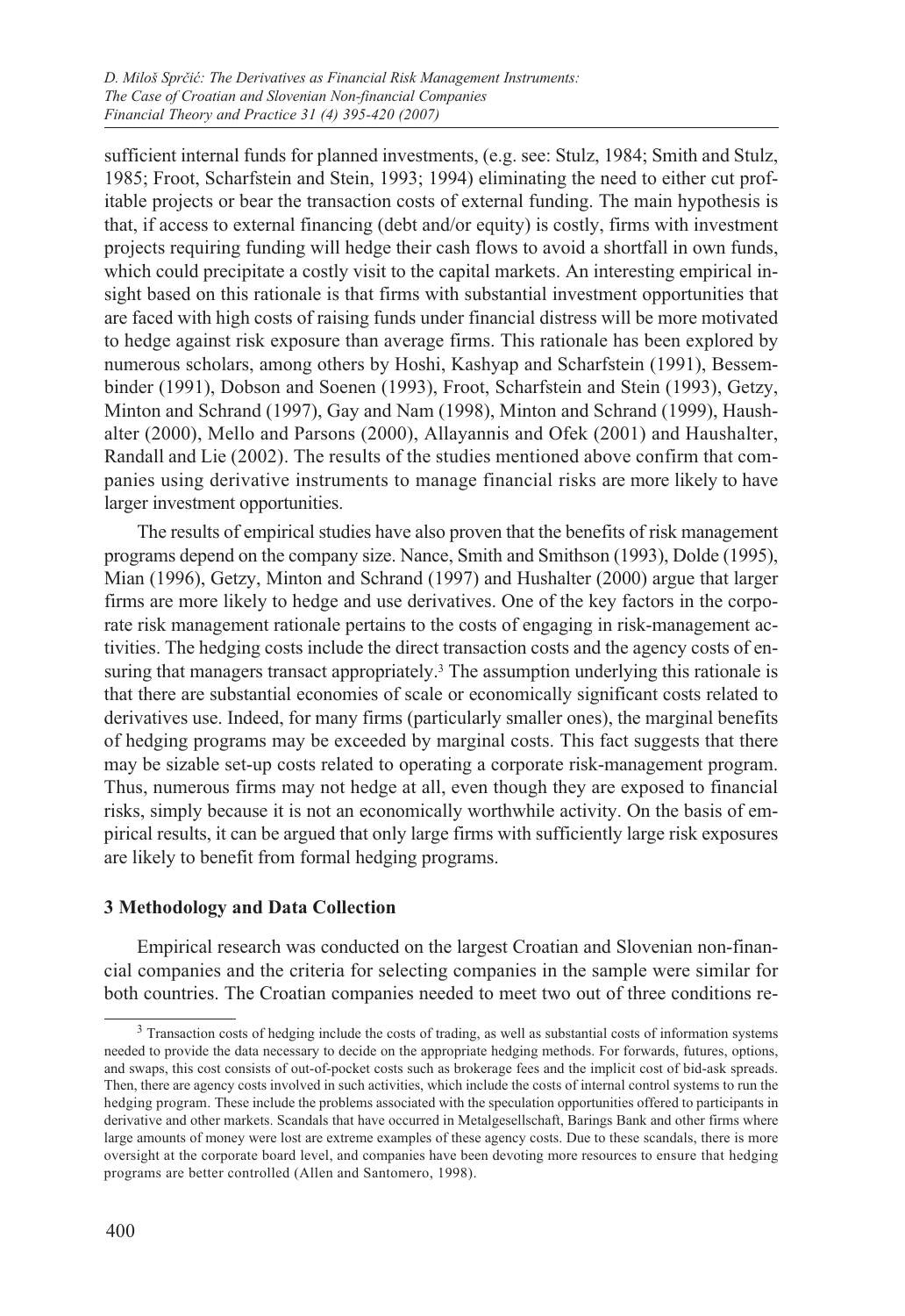sufficient internal funds for planned investments, (e.g. see: Stulz, 1984; Smith and Stulz, 1985; Froot, Scharfstein and Stein, 1993; 1994) eliminating the need to either cut profitable projects or bear the transaction costs of external funding. The main hypothesis is that, if access to external financing (debt and/or equity) is costly, firms with investment projects requiring funding will hedge their cash flows to avoid a shortfall in own funds, which could precipitate a costly visit to the capital markets. An interesting empirical insight based on this rationale is that firms with substantial investment opportunities that are faced with high costs of raising funds under financial distress will be more motivated to hedge against risk exposure than average firms. This rationale has been explored by numerous scholars, among others by Hoshi, Kashyap and Scharfstein (1991), Bessembinder (1991), Dobson and Soenen (1993), Froot, Scharfstein and Stein (1993), Getzy, Minton and Schrand (1997), Gay and Nam (1998), Minton and Schrand (1999), Haushalter (2000), Mello and Parsons (2000), Allayannis and Ofek (2001) and Haushalter, Randall and Lie (2002). The results of the studies mentioned above confirm that companies using derivative instruments to manage financial risks are more likely to have larger investment opportunities.

The results of empirical studies have also proven that the benefits of risk management programs depend on the company size. Nance, Smith and Smithson (1993), Dolde (1995), Mian (1996), Getzy, Minton and Schrand (1997) and Hushalter (2000) argue that larger firms are more likely to hedge and use derivatives. One of the key factors in the corporate risk management rationale pertains to the costs of engaging in risk-management activities. The hedging costs include the direct transaction costs and the agency costs of ensuring that managers transact appropriately.<sup>3</sup> The assumption underlying this rationale is that there are substantial economies of scale or economically significant costs related to derivatives use. Indeed, for many firms (particularly smaller ones), the marginal benefits of hedging programs may be exceeded by marginal costs. This fact suggests that there may be sizable set-up costs related to operating a corporate risk-management program. Thus, numerous firms may not hedge at all, even though they are exposed to financial risks, simply because it is not an economically worthwhile activity. On the basis of empirical results, it can be argued that only large firms with sufficiently large risk exposures are likely to benefit from formal hedging programs.

## **3 Methodology and Data Collection**

Empirical research was conducted on the largest Croatian and Slovenian non-financial companies and the criteria for selecting companies in the sample were similar for both countries. The Croatian companies needed to meet two out of three conditions re-

<sup>&</sup>lt;sup>3</sup> Transaction costs of hedging include the costs of trading, as well as substantial costs of information systems needed to provide the data necessary to decide on the appropriate hedging methods. For forwards, futures, options, and swaps, this cost consists of out-of-pocket costs such as brokerage fees and the implicit cost of bid-ask spreads. Then, there are agency costs involved in such activities, which include the costs of internal control systems to run the hedging program. These include the problems associated with the speculation opportunities offered to participants in derivative and other markets. Scandals that have occurred in Metalgesellschaft, Barings Bank and other firms where large amounts of money were lost are extreme examples of these agency costs. Due to these scandals, there is more oversight at the corporate board level, and companies have been devoting more resources to ensure that hedging programs are better controlled (Allen and Santomero, 1998).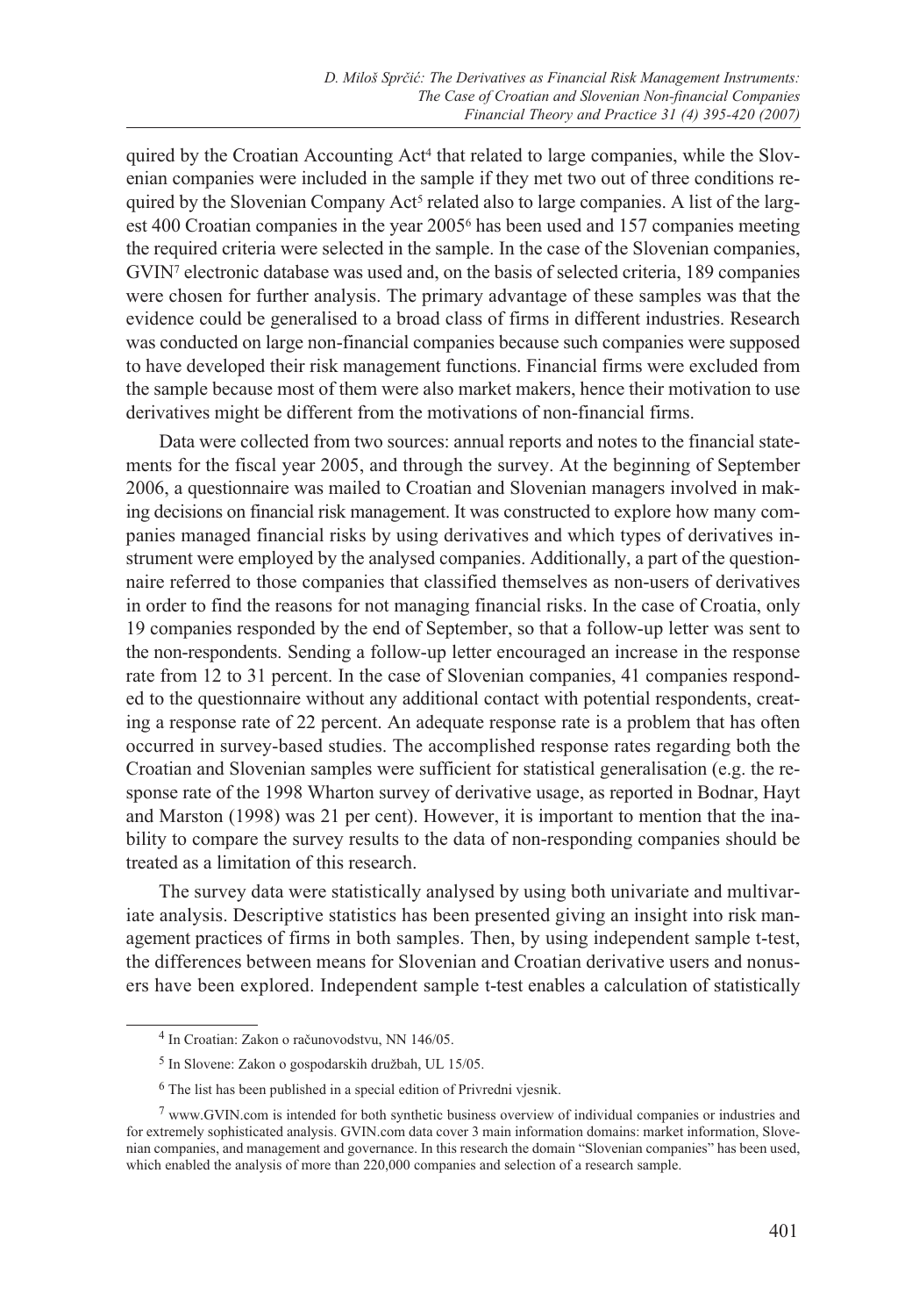quired by the Croatian Accounting Act<sup>4</sup> that related to large companies, while the Slovenian companies were included in the sample if they met two out of three conditions required by the Slovenian Company Act<sup>5</sup> related also to large companies. A list of the largest 400 Croatian companies in the year 20056 has been used and 157 companies meeting the required criteria were selected in the sample. In the case of the Slovenian companies, GVIN7 electronic database was used and, on the basis of selected criteria, 189 companies were chosen for further analysis. The primary advantage of these samples was that the evidence could be generalised to a broad class of firms in different industries. Research was conducted on large non-financial companies because such companies were supposed to have developed their risk management functions. Financial firms were excluded from the sample because most of them were also market makers, hence their motivation to use derivatives might be different from the motivations of non-financial firms.

Data were collected from two sources: annual reports and notes to the financial statements for the fiscal year 2005, and through the survey. At the beginning of September 2006, a questionnaire was mailed to Croatian and Slovenian managers involved in making decisions on financial risk management. It was constructed to explore how many companies managed financial risks by using derivatives and which types of derivatives instrument were employed by the analysed companies. Additionally, a part of the questionnaire referred to those companies that classified themselves as non-users of derivatives in order to find the reasons for not managing financial risks. In the case of Croatia, only 19 companies responded by the end of September, so that a follow-up letter was sent to the non-respondents. Sending a follow-up letter encouraged an increase in the response rate from 12 to 31 percent. In the case of Slovenian companies, 41 companies responded to the questionnaire without any additional contact with potential respondents, creating a response rate of 22 percent. An adequate response rate is a problem that has often occurred in survey-based studies. The accomplished response rates regarding both the Croatian and Slovenian samples were sufficient for statistical generalisation (e.g. the response rate of the 1998 Wharton survey of derivative usage, as reported in Bodnar, Hayt and Marston (1998) was 21 per cent). However, it is important to mention that the inability to compare the survey results to the data of non-responding companies should be treated as a limitation of this research.

The survey data were statistically analysed by using both univariate and multivariate analysis. Descriptive statistics has been presented giving an insight into risk management practices of firms in both samples. Then, by using independent sample t-test, the differences between means for Slovenian and Croatian derivative users and nonusers have been explored. Independent sample t-test enables a calculation of statistically

<sup>4</sup> In Croatian: Zakon o računovodstvu, NN 146/05.

<sup>5</sup> In Slovene: Zakon o gospodarskih družbah, UL 15/05.

<sup>6</sup> The list has been published in a special edition of Privredni vjesnik.

 $7$  www.GVIN.com is intended for both synthetic business overview of individual companies or industries and for extremely sophisticated analysis. GVIN.com data cover 3 main information domains: market information, Slovenian companies, and management and governance. In this research the domain "Slovenian companies" has been used, which enabled the analysis of more than 220,000 companies and selection of a research sample.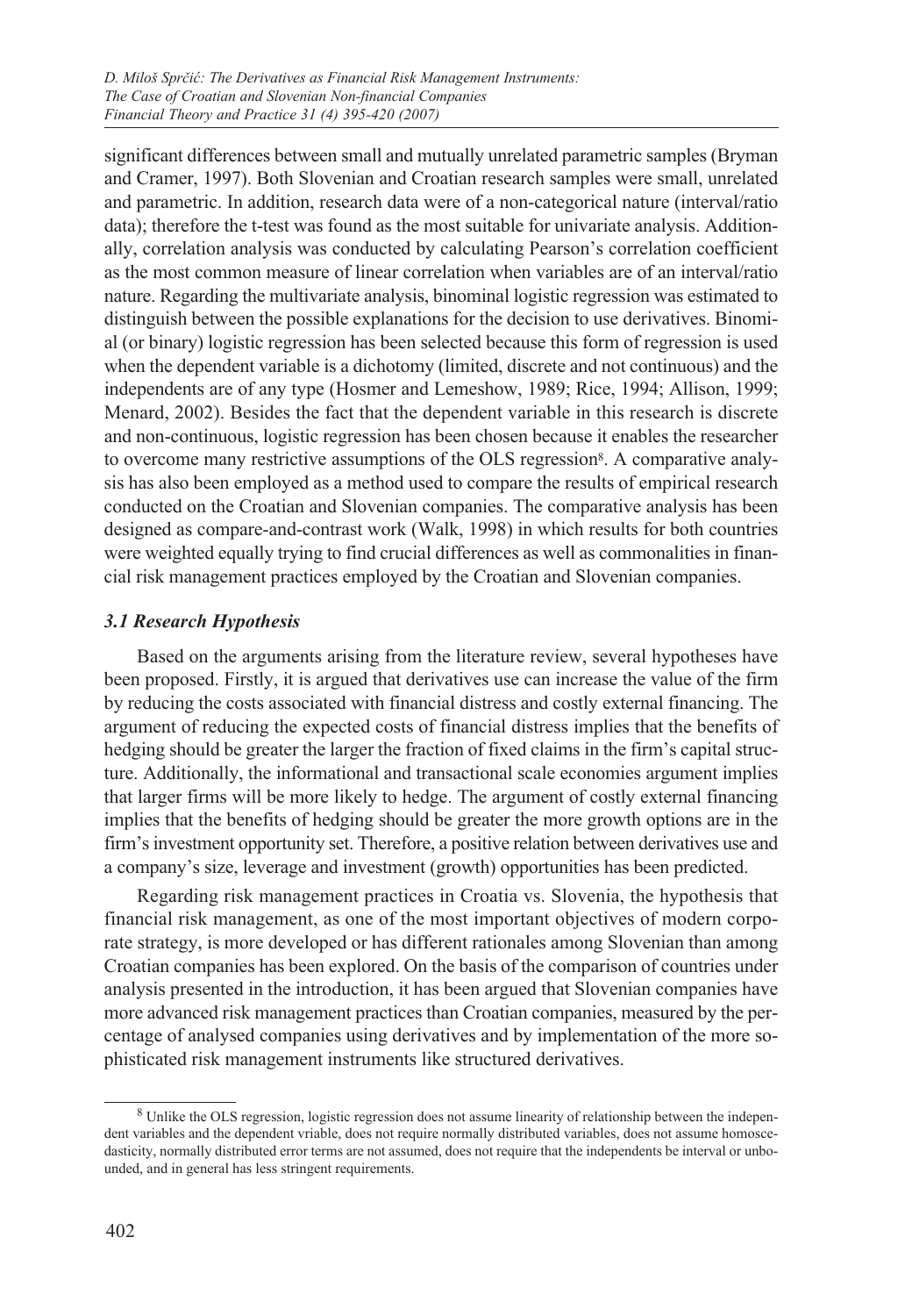significant differences between small and mutually unrelated parametric samples (Bryman and Cramer, 1997). Both Slovenian and Croatian research samples were small, unrelated and parametric. In addition, research data were of a non-categorical nature (interval/ratio data); therefore the t-test was found as the most suitable for univariate analysis. Additionally, correlation analysis was conducted by calculating Pearson's correlation coefficient as the most common measure of linear correlation when variables are of an interval/ratio nature. Regarding the multivariate analysis, binominal logistic regression was estimated to distinguish between the possible explanations for the decision to use derivatives. Binomial (or binary) logistic regression has been selected because this form of regression is used when the dependent variable is a dichotomy (limited, discrete and not continuous) and the independents are of any type (Hosmer and Lemeshow, 1989; Rice, 1994; Allison, 1999; Menard, 2002). Besides the fact that the dependent variable in this research is discrete and non-continuous, logistic regression has been chosen because it enables the researcher to overcome many restrictive assumptions of the OLS regression<sup>8</sup>. A comparative analysis has also been employed as a method used to compare the results of empirical research conducted on the Croatian and Slovenian companies. The comparative analysis has been designed as compare-and-contrast work (Walk, 1998) in which results for both countries were weighted equally trying to find crucial differences as well as commonalities in financial risk management practices employed by the Croatian and Slovenian companies.

## *3.1 Research Hypothesis*

Based on the arguments arising from the literature review, several hypotheses have been proposed. Firstly, it is argued that derivatives use can increase the value of the firm by reducing the costs associated with financial distress and costly external financing. The argument of reducing the expected costs of financial distress implies that the benefits of hedging should be greater the larger the fraction of fixed claims in the firm's capital structure. Additionally, the informational and transactional scale economies argument implies that larger firms will be more likely to hedge. The argument of costly external financing implies that the benefits of hedging should be greater the more growth options are in the firm's investment opportunity set. Therefore, a positive relation between derivatives use and a company's size, leverage and investment (growth) opportunities has been predicted.

Regarding risk management practices in Croatia vs. Slovenia, the hypothesis that financial risk management, as one of the most important objectives of modern corporate strategy, is more developed or has different rationales among Slovenian than among Croatian companies has been explored. On the basis of the comparison of countries under analysis presented in the introduction, it has been argued that Slovenian companies have more advanced risk management practices than Croatian companies, measured by the percentage of analysed companies using derivatives and by implementation of the more sophisticated risk management instruments like structured derivatives.

<sup>8</sup> Unlike the OLS regression, logistic regression does not assume linearity of relationship between the independent variables and the dependent vriable, does not require normally distributed variables, does not assume homoscedasticity, normally distributed error terms are not assumed, does not require that the independents be interval or unbounded, and in general has less stringent requirements.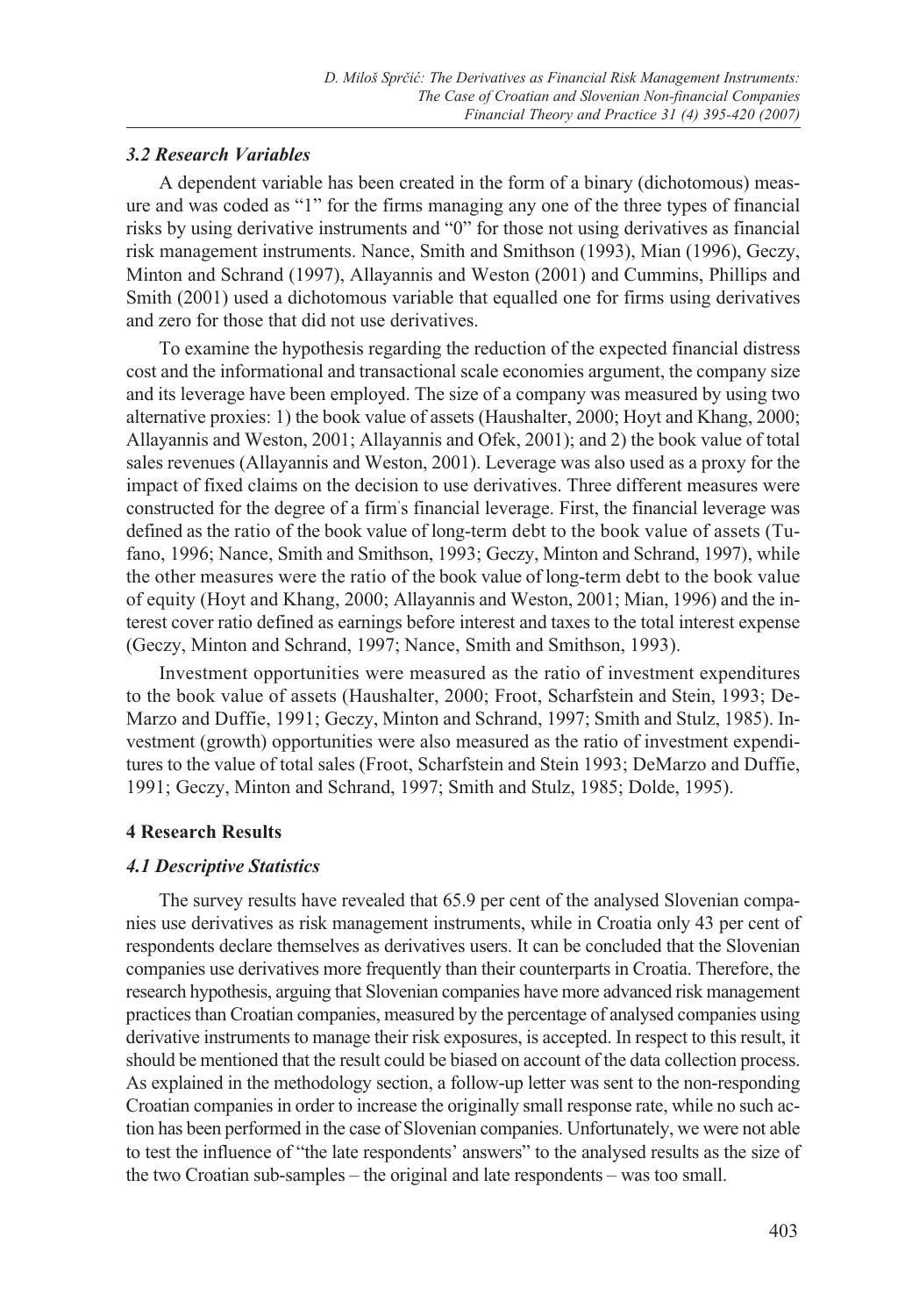## *3.2 Research Variables*

A dependent variable has been created in the form of a binary (dichotomous) measure and was coded as "1" for the firms managing any one of the three types of financial risks by using derivative instruments and "0" for those not using derivatives as financial risk management instruments. Nance, Smith and Smithson (1993), Mian (1996), Geczy, Minton and Schrand (1997), Allayannis and Weston (2001) and Cummins, Phillips and Smith (2001) used a dichotomous variable that equalled one for firms using derivatives and zero for those that did not use derivatives.

To examine the hypothesis regarding the reduction of the expected financial distress cost and the informational and transactional scale economies argument, the company size and its leverage have been employed. The size of a company was measured by using two alternative proxies: 1) the book value of assets (Haushalter, 2000; Hoyt and Khang, 2000; Allayannis and Weston, 2001; Allayannis and Ofek, 2001); and 2) the book value of total sales revenues (Allayannis and Weston, 2001). Leverage was also used as a proxy for the impact of fixed claims on the decision to use derivatives. Three different measures were constructed for the degree of a firm' s financial leverage. First, the financial leverage was defined as the ratio of the book value of long-term debt to the book value of assets (Tufano, 1996; Nance, Smith and Smithson, 1993; Geczy, Minton and Schrand, 1997), while the other measures were the ratio of the book value of long-term debt to the book value of equity (Hoyt and Khang, 2000; Allayannis and Weston, 2001; Mian, 1996) and the interest cover ratio defined as earnings before interest and taxes to the total interest expense (Geczy, Minton and Schrand, 1997; Nance, Smith and Smithson, 1993).

Investment opportunities were measured as the ratio of investment expenditures to the book value of assets (Haushalter, 2000; Froot, Scharfstein and Stein, 1993; De-Marzo and Duffie, 1991; Geczy, Minton and Schrand, 1997; Smith and Stulz, 1985). Investment (growth) opportunities were also measured as the ratio of investment expenditures to the value of total sales (Froot, Scharfstein and Stein 1993; DeMarzo and Duffie, 1991; Geczy, Minton and Schrand, 1997; Smith and Stulz, 1985; Dolde, 1995).

## **4 Research Results**

#### *4.1 Descriptive Statistics*

The survey results have revealed that 65.9 per cent of the analysed Slovenian companies use derivatives as risk management instruments, while in Croatia only 43 per cent of respondents declare themselves as derivatives users. It can be concluded that the Slovenian companies use derivatives more frequently than their counterparts in Croatia. Therefore, the research hypothesis, arguing that Slovenian companies have more advanced risk management practices than Croatian companies, measured by the percentage of analysed companies using derivative instruments to manage their risk exposures, is accepted. In respect to this result, it should be mentioned that the result could be biased on account of the data collection process. As explained in the methodology section, a follow-up letter was sent to the non-responding Croatian companies in order to increase the originally small response rate, while no such action has been performed in the case of Slovenian companies. Unfortunately, we were not able to test the influence of "the late respondents' answers" to the analysed results as the size of the two Croatian sub-samples – the original and late respondents – was too small.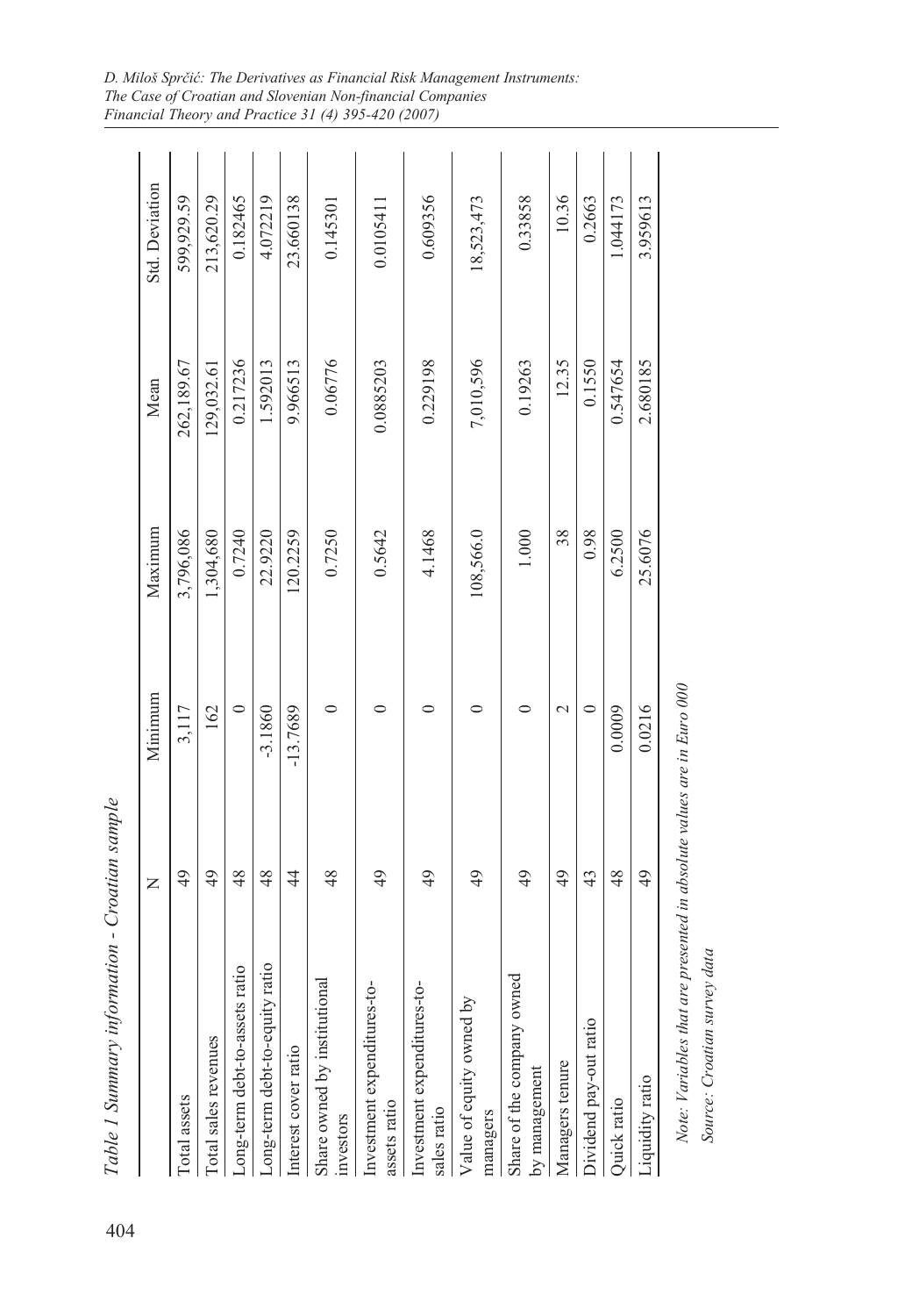| 0.1550<br>0.217236<br>0.06776<br>0.229198<br>7,010,596<br>0.547654<br>2.680185<br>262,189.67<br>9.966513<br>0.0885203<br>0.19263<br>12.35<br>1.592013<br>129,032.61<br>1,304,680<br>25.6076<br>3,796,086<br>0.7240<br>120.2259<br>0.7250<br>38<br>0.98<br>6.2500<br>22.9220<br>0.5642<br>4.1468<br>108,566.0<br>1.000<br>162<br>$\circ$<br>$-13.7689$<br>$\circ$<br>0.0216<br>3,117<br>$-3.1860$<br>0<br>0<br>$\circ$<br>$\circ$<br>$\mathcal{L}$<br>0.0009<br>0<br>$\frac{49}{5}$<br>$\frac{8}{3}$<br>$\frac{49}{5}$<br>$\frac{49}{5}$<br>48<br>48<br>$\frac{4}{3}$<br>48<br>49<br>49<br>$\frac{49}{5}$<br>$\frac{49}{5}$<br>49<br>43<br>Long-term debt-to-equity ratio<br>Long-term debt-to-assets ratio<br>Share of the company owned<br>Share owned by institutional<br>Investment expenditures-to-<br>Investment expenditures-to-<br>ΣĀ<br>Dividend pay-out ratio<br>Value of equity owned<br>Total sales revenues<br>Interest cover ratio<br>Managers tenure<br>by management<br>Liquidity ratio<br>Total assets<br>Quick ratio<br>assets ratio<br>sales ratio<br>managers<br>investors | Table 1 Summary information - Croatian sample |   |         |         |      |                       |
|-----------------------------------------------------------------------------------------------------------------------------------------------------------------------------------------------------------------------------------------------------------------------------------------------------------------------------------------------------------------------------------------------------------------------------------------------------------------------------------------------------------------------------------------------------------------------------------------------------------------------------------------------------------------------------------------------------------------------------------------------------------------------------------------------------------------------------------------------------------------------------------------------------------------------------------------------------------------------------------------------------------------------------------------------------------------------------------------------|-----------------------------------------------|---|---------|---------|------|-----------------------|
|                                                                                                                                                                                                                                                                                                                                                                                                                                                                                                                                                                                                                                                                                                                                                                                                                                                                                                                                                                                                                                                                                               |                                               | Z | Minimum | Maximum | Mean | <b>Std.</b> Deviation |
|                                                                                                                                                                                                                                                                                                                                                                                                                                                                                                                                                                                                                                                                                                                                                                                                                                                                                                                                                                                                                                                                                               |                                               |   |         |         |      | 599,929.59            |
|                                                                                                                                                                                                                                                                                                                                                                                                                                                                                                                                                                                                                                                                                                                                                                                                                                                                                                                                                                                                                                                                                               |                                               |   |         |         |      | 213,620.29            |
|                                                                                                                                                                                                                                                                                                                                                                                                                                                                                                                                                                                                                                                                                                                                                                                                                                                                                                                                                                                                                                                                                               |                                               |   |         |         |      | 0.182465              |
|                                                                                                                                                                                                                                                                                                                                                                                                                                                                                                                                                                                                                                                                                                                                                                                                                                                                                                                                                                                                                                                                                               |                                               |   |         |         |      | 4.072219              |
|                                                                                                                                                                                                                                                                                                                                                                                                                                                                                                                                                                                                                                                                                                                                                                                                                                                                                                                                                                                                                                                                                               |                                               |   |         |         |      | 23.660138             |
|                                                                                                                                                                                                                                                                                                                                                                                                                                                                                                                                                                                                                                                                                                                                                                                                                                                                                                                                                                                                                                                                                               |                                               |   |         |         |      | 0.145301              |
|                                                                                                                                                                                                                                                                                                                                                                                                                                                                                                                                                                                                                                                                                                                                                                                                                                                                                                                                                                                                                                                                                               |                                               |   |         |         |      | 0.0105411             |
|                                                                                                                                                                                                                                                                                                                                                                                                                                                                                                                                                                                                                                                                                                                                                                                                                                                                                                                                                                                                                                                                                               |                                               |   |         |         |      | 0.609356              |
|                                                                                                                                                                                                                                                                                                                                                                                                                                                                                                                                                                                                                                                                                                                                                                                                                                                                                                                                                                                                                                                                                               |                                               |   |         |         |      | 18,523,473            |
|                                                                                                                                                                                                                                                                                                                                                                                                                                                                                                                                                                                                                                                                                                                                                                                                                                                                                                                                                                                                                                                                                               |                                               |   |         |         |      | 0.33858               |
|                                                                                                                                                                                                                                                                                                                                                                                                                                                                                                                                                                                                                                                                                                                                                                                                                                                                                                                                                                                                                                                                                               |                                               |   |         |         |      | 10.36                 |
|                                                                                                                                                                                                                                                                                                                                                                                                                                                                                                                                                                                                                                                                                                                                                                                                                                                                                                                                                                                                                                                                                               |                                               |   |         |         |      | 0.2663                |
|                                                                                                                                                                                                                                                                                                                                                                                                                                                                                                                                                                                                                                                                                                                                                                                                                                                                                                                                                                                                                                                                                               |                                               |   |         |         |      | 1.044173              |
|                                                                                                                                                                                                                                                                                                                                                                                                                                                                                                                                                                                                                                                                                                                                                                                                                                                                                                                                                                                                                                                                                               |                                               |   |         |         |      | 3.959613              |

*D. Miloš Sprčić: The Derivatives as Financial Risk Management Instruments: The Case of Croatian and Slovenian Non-financial Companies Financial Theory and Practice 31 (4) 395-420 (2007)*

> *Note: Variables that are presented in absolute values are in Euro 000* Note: Variables that are presented in absolute values are in Euro volv

Source: Croatian survey data *Source: Croatian survey data*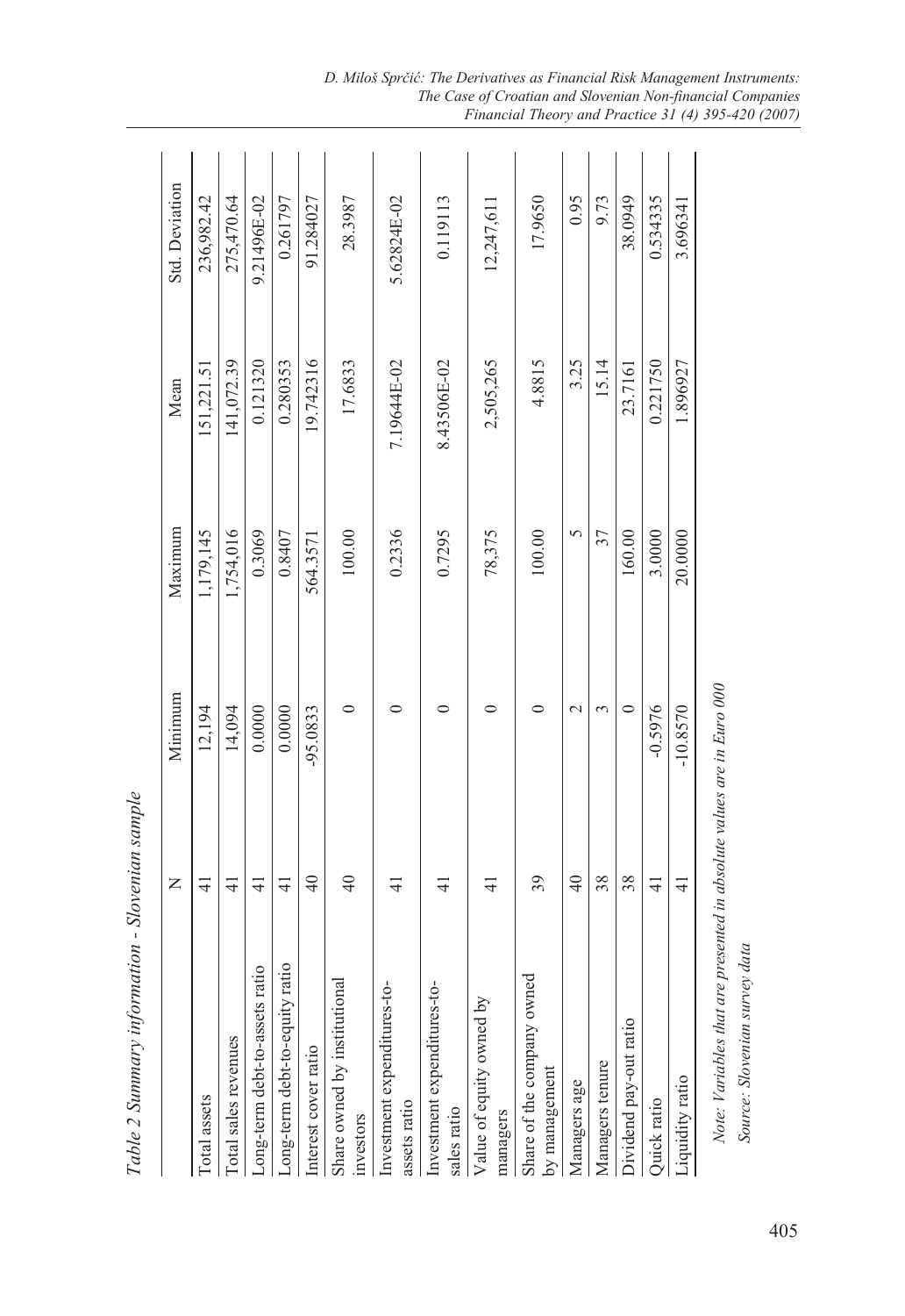|                                             | Z                    | Minimum     | Maximum   | Mean        | <b>Std.</b> Deviation |  |
|---------------------------------------------|----------------------|-------------|-----------|-------------|-----------------------|--|
| Total assets                                | ╤                    | 12,194      | 1,179,145 | 151,221.51  | 236,982.42            |  |
| Total sales revenues                        | ਰ                    | 14,094      | 1,754,016 | 141,072.39  | 275,470.64            |  |
| Long-term debt-to-assets ratio              | 41                   | 0.0000      | 0.3069    | 0.121320    | 9.21496E-02           |  |
| Long-term debt-to-equity ratio              | $\frac{1}{4}$        | 0.0000      | 0.8407    | 0.280353    | 0.261797              |  |
| Interest cover ratio                        | $\frac{1}{4}$        | -95.0833    | 564.3571  | 19.742316   | 91.284027             |  |
| Share owned by institutional<br>investors   | $\overline{4}$       | 0           | 100.00    | 17.6833     | 28.3987               |  |
| Investment expenditures-to-<br>assets ratio | 근                    | 0           | 0.2336    | 7.19644E-02 | 5.62824E-02           |  |
| Investment expenditures-to-<br>sales ratio  | ╤                    |             | 0.7295    | 8.43506E-02 | 0.119113              |  |
| ਨ<br>Value of equity owned<br>managers      | ₹                    | 0           | 78,375    | 2,505,265   | 12,247,611            |  |
| Share of the company owned<br>by management | 39                   | 0           | 100.00    | 4.8815      | 17.9650               |  |
| Managers age                                | $\frac{4}{\sqrt{2}}$ | $\mathbf 2$ | 5         | 3.25        | 0.95                  |  |
| Managers tenure                             | 38                   | 3           | 37        | 15.14       | 9.73                  |  |
| Dividend pay-out ratio                      | 38                   | 0           | 160.00    | 23.7161     | 38.0949               |  |
| Quick ratio                                 | ₹                    | $-0.5976$   | 3.0000    | 0.221750    | 0.534335              |  |
| Liquidity ratio                             | $\frac{4}{1}$        | $-10.8570$  | 20.0000   | 1.896927    | 3.696341              |  |
|                                             |                      |             |           |             |                       |  |

Table 2 Summary information - Slovenian sample *Table 2 Summary information - Slovenian sample* 

Note: Variables that are presented in absolute values are in Euro 000 *Note: Variables that are presented in absolute values are in Euro 000* Source: Slovenian survey data *Source: Slovenian survey data*

*D. Miloš Sprčić: The Derivatives as Financial Risk Management Instruments: The Case of Croatian and Slovenian Non-financial Companies Financial Theory and Practice 31 (4) 395-420 (2007)*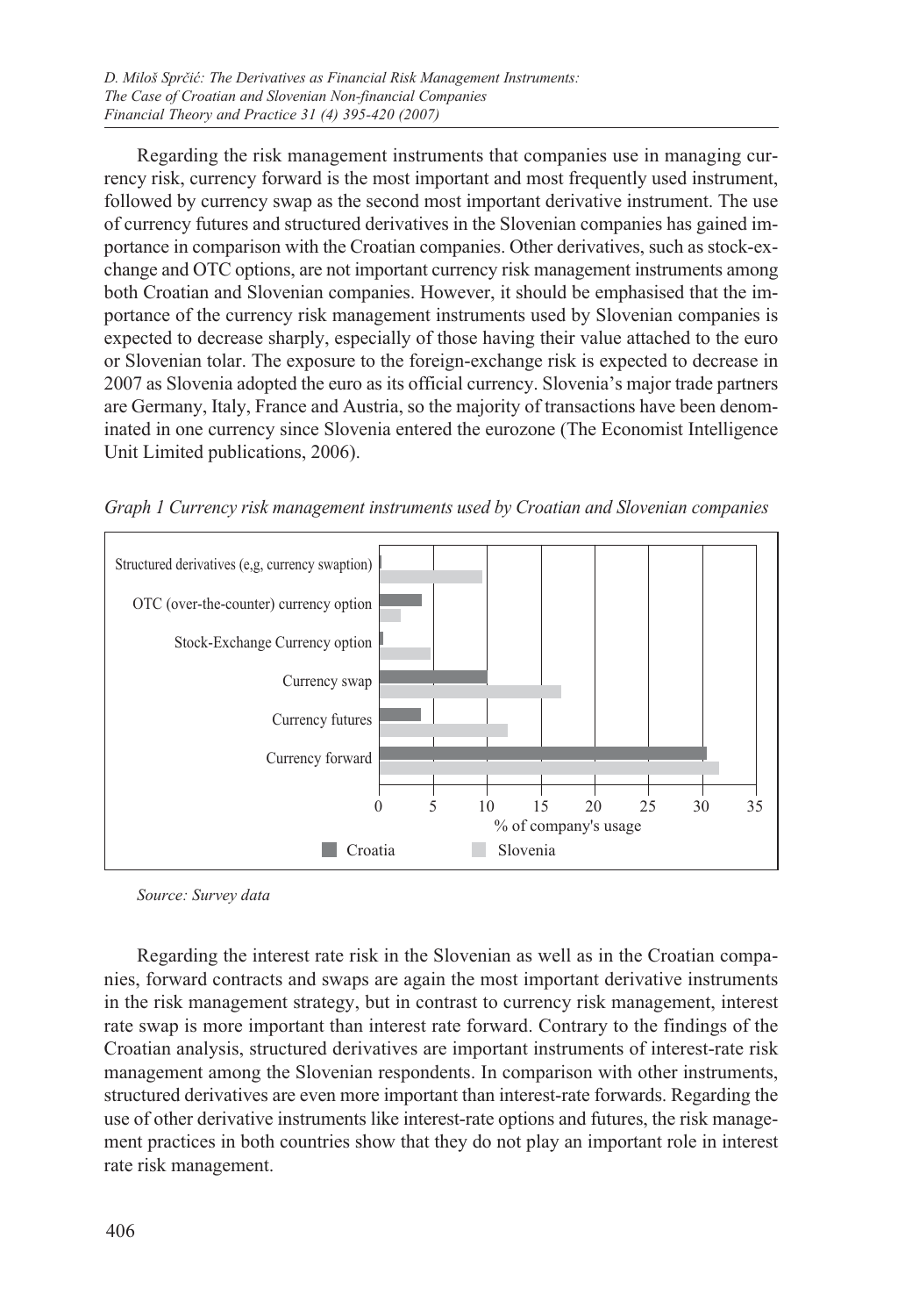Regarding the risk management instruments that companies use in managing currency risk, currency forward is the most important and most frequently used instrument, followed by currency swap as the second most important derivative instrument. The use of currency futures and structured derivatives in the Slovenian companies has gained importance in comparison with the Croatian companies. Other derivatives, such as stock-exchange and OTC options, are not important currency risk management instruments among both Croatian and Slovenian companies. However, it should be emphasised that the importance of the currency risk management instruments used by Slovenian companies is expected to decrease sharply, especially of those having their value attached to the euro or Slovenian tolar. The exposure to the foreign-exchange risk is expected to decrease in 2007 as Slovenia adopted the euro as its official currency. Slovenia's major trade partners are Germany, Italy, France and Austria, so the majority of transactions have been denominated in one currency since Slovenia entered the eurozone (The Economist Intelligence Unit Limited publications, 2006).



*Graph 1 Currency risk management instruments used by Croatian and Slovenian companies*

*Source: Survey data*

Regarding the interest rate risk in the Slovenian as well as in the Croatian companies, forward contracts and swaps are again the most important derivative instruments in the risk management strategy, but in contrast to currency risk management, interest rate swap is more important than interest rate forward. Contrary to the findings of the Croatian analysis, structured derivatives are important instruments of interest-rate risk management among the Slovenian respondents. In comparison with other instruments, structured derivatives are even more important than interest-rate forwards. Regarding the use of other derivative instruments like interest-rate options and futures, the risk management practices in both countries show that they do not play an important role in interest rate risk management.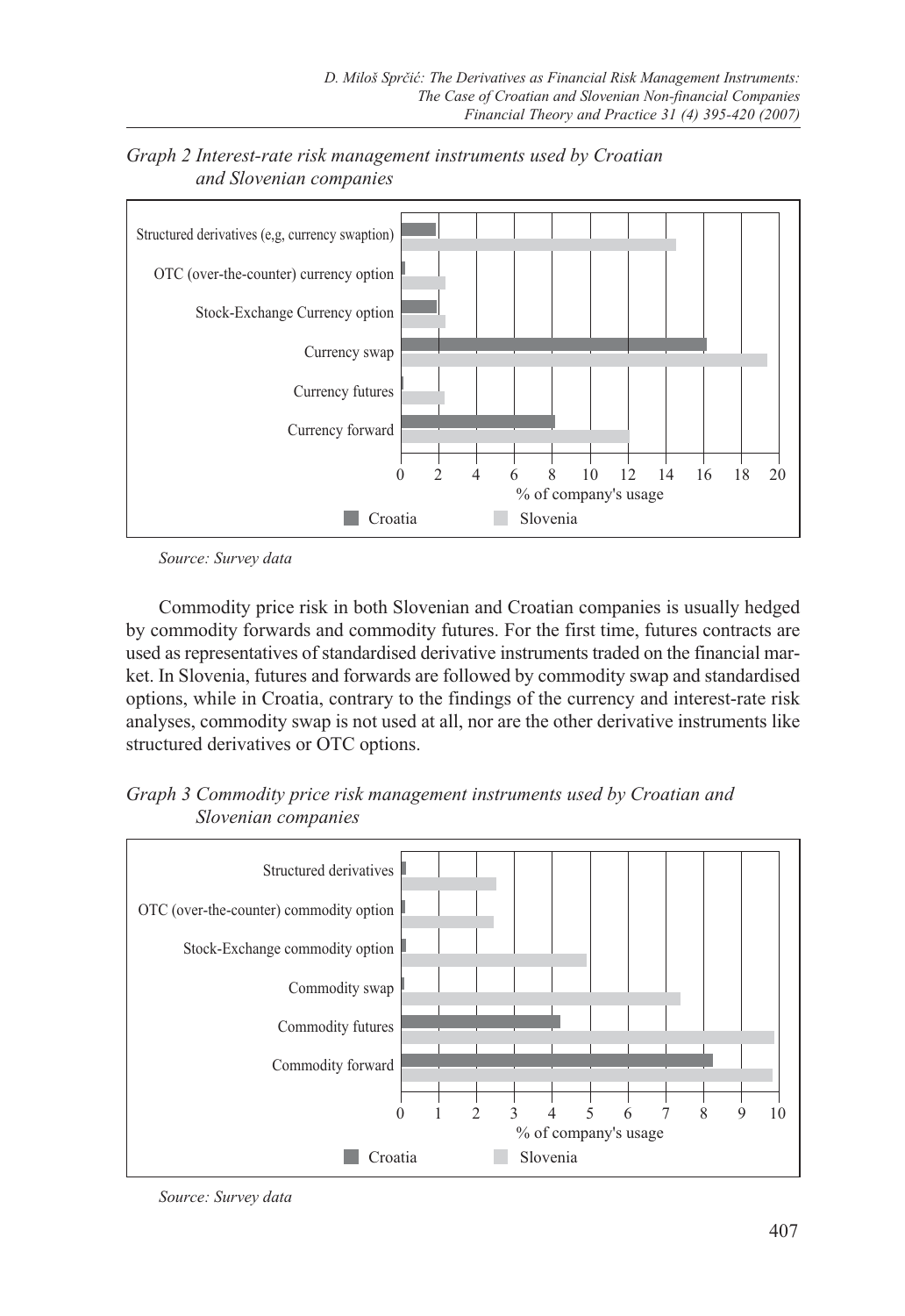

*Graph 2 Interest-rate risk management instruments used by Croatian and Slovenian companies*

*Source: Survey data*

Commodity price risk in both Slovenian and Croatian companies is usually hedged by commodity forwards and commodity futures. For the first time, futures contracts are used as representatives of standardised derivative instruments traded on the financial market. In Slovenia, futures and forwards are followed by commodity swap and standardised options, while in Croatia, contrary to the findings of the currency and interest-rate risk analyses, commodity swap is not used at all, nor are the other derivative instruments like structured derivatives or OTC options.

*Graph 3 Commodity price risk management instruments used by Croatian and Slovenian companies*



*Source: Survey data*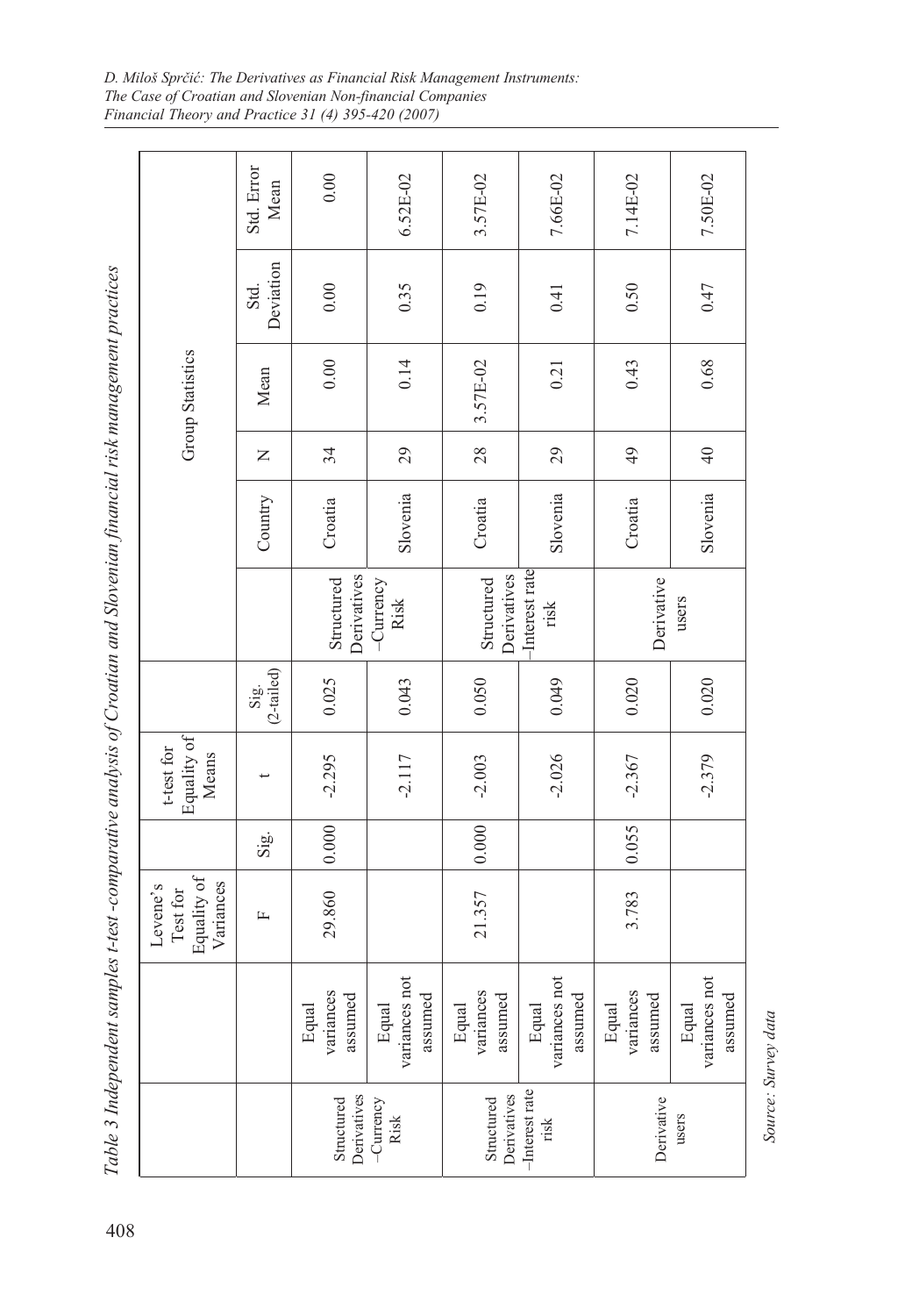| <b>Group Statistics</b><br>Equality of<br>t-test for<br>Means | Std. Error<br>Mean<br>Deviation<br>Std.<br>Mean<br>Z<br>Country<br>$(2-tailed)$<br>Sig. | $0.00$<br>0.00<br>0.00<br>34<br>Croatia<br>Derivatives<br>Structured<br>0.025<br>$-2.295$ | 6.52E-02<br>0.35<br>0.14<br>29<br>Slovenia<br>$-$ Currency<br>Risk<br>0.043<br>$-2.117$ | 3.57E-02<br>0.19<br>3.57E-02<br>28<br>Croatia<br>Derivatives<br>Structured<br>0.050<br>$-2.003$ | 7.66E-02<br>0.41<br>0.21<br>29<br>Slovenia<br>-Interest rate<br>risk<br>0.049<br>$-2.026$ | 7.14E-02<br>0.50<br>0.43<br>$\frac{49}{5}$<br>Croatia<br>Derivative<br>0.020<br>$-2.367$ | 7.50E-02<br>0.47<br>0.68<br>$\overline{4}$<br>Slovenia<br>users<br>0.020<br>$-2.379$ |
|---------------------------------------------------------------|-----------------------------------------------------------------------------------------|-------------------------------------------------------------------------------------------|-----------------------------------------------------------------------------------------|-------------------------------------------------------------------------------------------------|-------------------------------------------------------------------------------------------|------------------------------------------------------------------------------------------|--------------------------------------------------------------------------------------|
|                                                               |                                                                                         |                                                                                           |                                                                                         |                                                                                                 |                                                                                           |                                                                                          |                                                                                      |
|                                                               |                                                                                         |                                                                                           |                                                                                         |                                                                                                 |                                                                                           |                                                                                          |                                                                                      |
|                                                               |                                                                                         |                                                                                           |                                                                                         |                                                                                                 |                                                                                           |                                                                                          |                                                                                      |
|                                                               |                                                                                         |                                                                                           |                                                                                         |                                                                                                 |                                                                                           |                                                                                          |                                                                                      |
|                                                               |                                                                                         |                                                                                           |                                                                                         |                                                                                                 |                                                                                           |                                                                                          |                                                                                      |
|                                                               | Sig.                                                                                    | 0.000                                                                                     |                                                                                         | 0.000                                                                                           |                                                                                           | 0.055                                                                                    |                                                                                      |
| Equality of<br>Variances<br>Levene's<br>Test for              | 匞                                                                                       | 29.860                                                                                    |                                                                                         | 21.357                                                                                          |                                                                                           | 3.783                                                                                    |                                                                                      |
|                                                               |                                                                                         | variances<br>assumed<br>Equal                                                             | variances not<br>assumed<br>Equal                                                       | variances<br>assumed<br>Equal                                                                   | variances not<br>assumed<br>Equal                                                         | variances<br>assumed<br>Equal                                                            | variances not<br>assumed<br>Equal                                                    |
|                                                               |                                                                                         | Derivatives<br>Structured                                                                 | -Currency<br>Risk                                                                       | Derivatives<br>Structured                                                                       | -Interest rate<br>risk                                                                    | Derivative                                                                               | users                                                                                |

*D. Miloš Sprčić: The Derivatives as Financial Risk Management Instruments: The Case of Croatian and Slovenian Non-financial Companies Financial Theory and Practice 31 (4) 395-420 (2007)*

> Source: Survey data *Source: Survey data*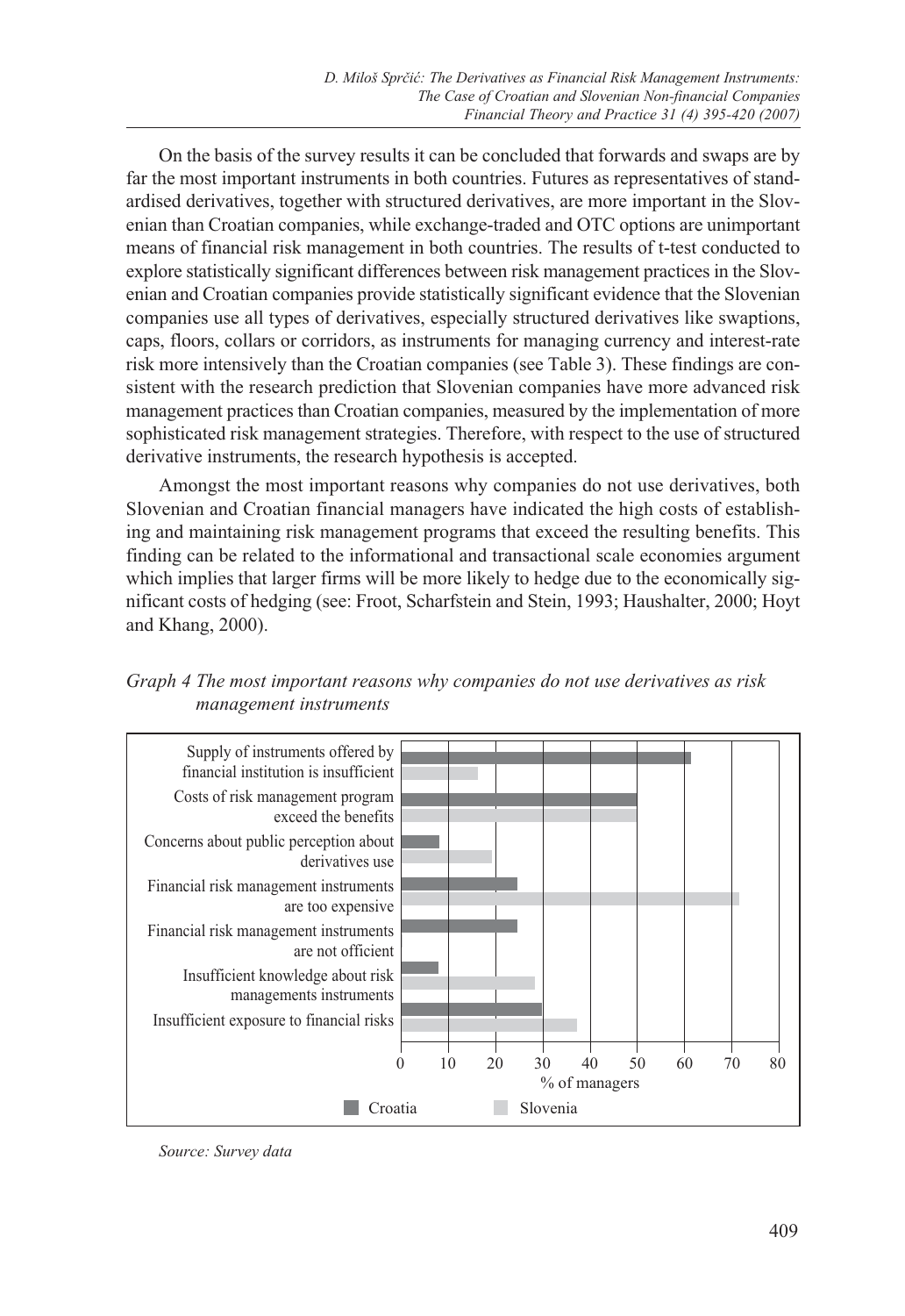On the basis of the survey results it can be concluded that forwards and swaps are by far the most important instruments in both countries. Futures as representatives of standardised derivatives, together with structured derivatives, are more important in the Slovenian than Croatian companies, while exchange-traded and OTC options are unimportant means of financial risk management in both countries. The results of t-test conducted to explore statistically significant differences between risk management practices in the Slovenian and Croatian companies provide statistically significant evidence that the Slovenian companies use all types of derivatives, especially structured derivatives like swaptions, caps, floors, collars or corridors, as instruments for managing currency and interest-rate risk more intensively than the Croatian companies (see Table 3). These findings are consistent with the research prediction that Slovenian companies have more advanced risk management practices than Croatian companies, measured by the implementation of more sophisticated risk management strategies. Therefore, with respect to the use of structured derivative instruments, the research hypothesis is accepted.

Amongst the most important reasons why companies do not use derivatives, both Slovenian and Croatian financial managers have indicated the high costs of establishing and maintaining risk management programs that exceed the resulting benefits. This finding can be related to the informational and transactional scale economies argument which implies that larger firms will be more likely to hedge due to the economically significant costs of hedging (see: Froot, Scharfstein and Stein, 1993; Haushalter, 2000; Hoyt and Khang, 2000).





*Source: Survey data*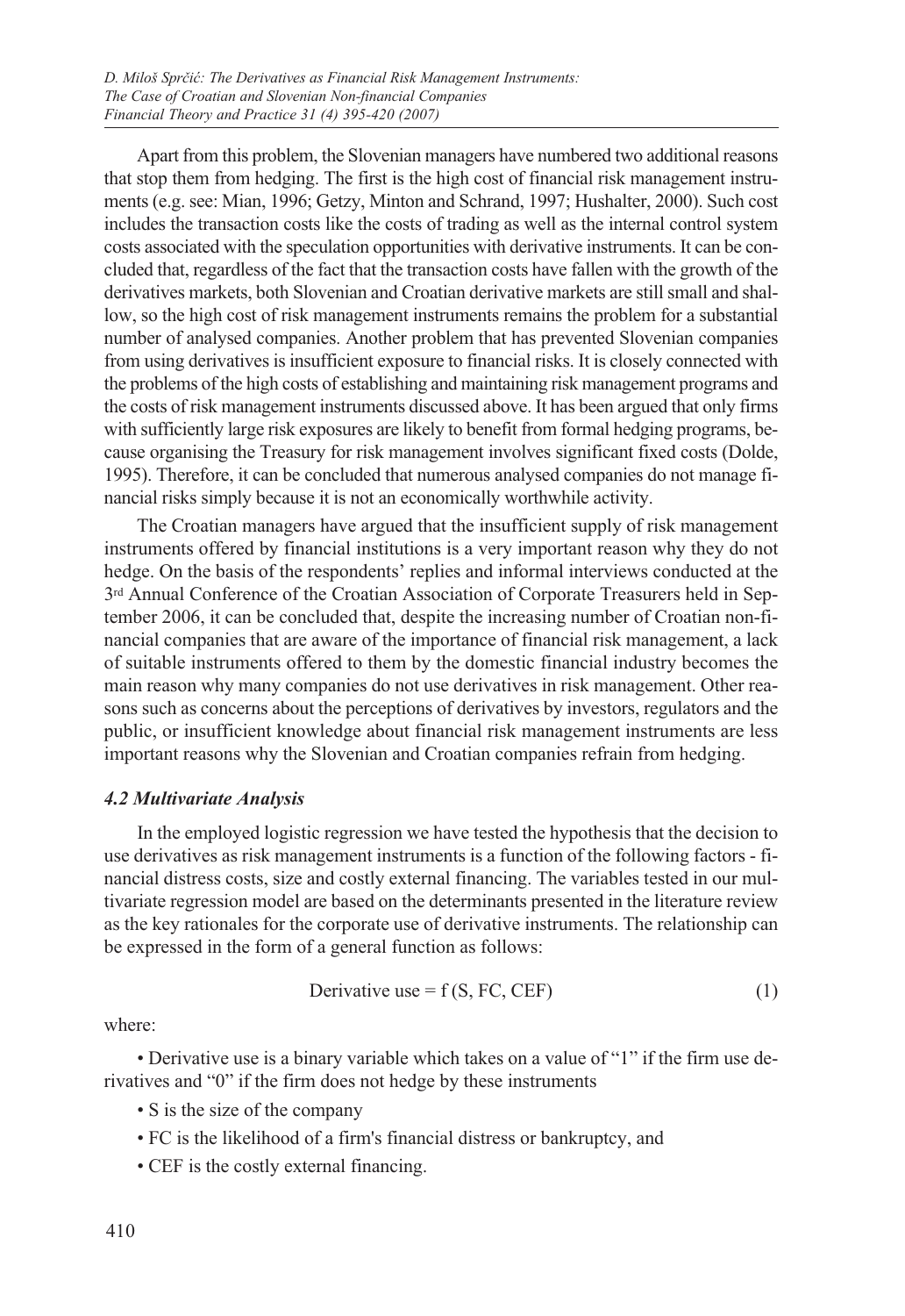Apart from this problem, the Slovenian managers have numbered two additional reasons that stop them from hedging. The first is the high cost of financial risk management instruments (e.g. see: Mian, 1996; Getzy, Minton and Schrand, 1997; Hushalter, 2000). Such cost includes the transaction costs like the costs of trading as well as the internal control system costs associated with the speculation opportunities with derivative instruments. It can be concluded that, regardless of the fact that the transaction costs have fallen with the growth of the derivatives markets, both Slovenian and Croatian derivative markets are still small and shallow, so the high cost of risk management instruments remains the problem for a substantial number of analysed companies. Another problem that has prevented Slovenian companies from using derivatives is insufficient exposure to financial risks. It is closely connected with the problems of the high costs of establishing and maintaining risk management programs and the costs of risk management instruments discussed above. It has been argued that only firms with sufficiently large risk exposures are likely to benefit from formal hedging programs, because organising the Treasury for risk management involves significant fixed costs (Dolde, 1995). Therefore, it can be concluded that numerous analysed companies do not manage financial risks simply because it is not an economically worthwhile activity.

The Croatian managers have argued that the insufficient supply of risk management instruments offered by financial institutions is a very important reason why they do not hedge. On the basis of the respondents' replies and informal interviews conducted at the 3rd Annual Conference of the Croatian Association of Corporate Treasurers held in September 2006, it can be concluded that, despite the increasing number of Croatian non-financial companies that are aware of the importance of financial risk management, a lack of suitable instruments offered to them by the domestic financial industry becomes the main reason why many companies do not use derivatives in risk management. Other reasons such as concerns about the perceptions of derivatives by investors, regulators and the public, or insufficient knowledge about financial risk management instruments are less important reasons why the Slovenian and Croatian companies refrain from hedging.

#### *4.2 Multivariate Analysis*

In the employed logistic regression we have tested the hypothesis that the decision to use derivatives as risk management instruments is a function of the following factors - financial distress costs, size and costly external financing. The variables tested in our multivariate regression model are based on the determinants presented in the literature review as the key rationales for the corporate use of derivative instruments. The relationship can be expressed in the form of a general function as follows:

Derivative use = 
$$
f(S, FC, CEF)
$$
 (1)

where:

• Derivative use is a binary variable which takes on a value of "1" if the firm use derivatives and "0" if the firm does not hedge by these instruments

- S is the size of the company
- FC is the likelihood of a firm's financial distress or bankruptcy, and
- CEF is the costly external financing.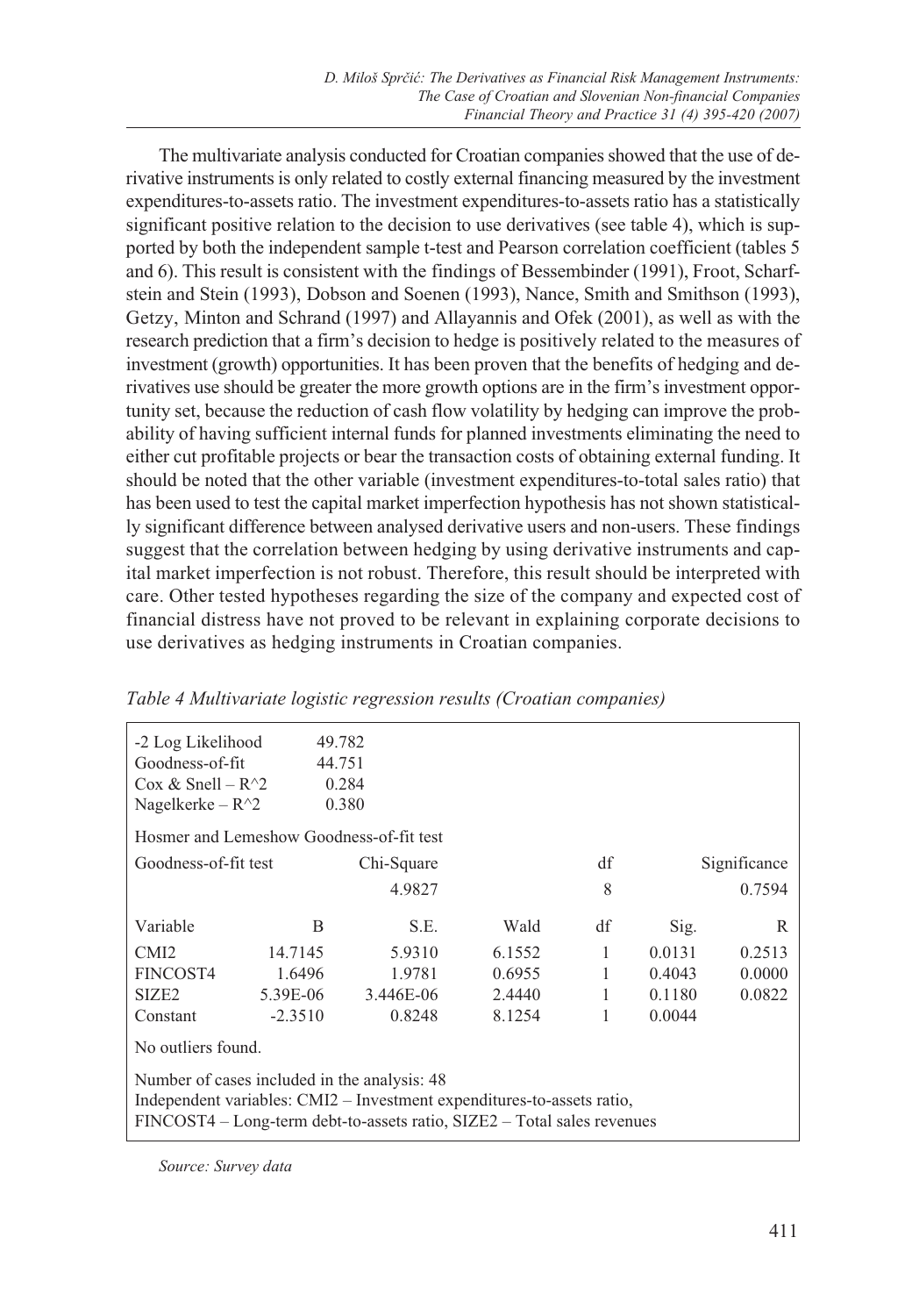The multivariate analysis conducted for Croatian companies showed that the use of derivative instruments is only related to costly external financing measured by the investment expenditures-to-assets ratio. The investment expenditures-to-assets ratio has a statistically significant positive relation to the decision to use derivatives (see table 4), which is supported by both the independent sample t-test and Pearson correlation coefficient (tables 5 and 6). This result is consistent with the findings of Bessembinder (1991), Froot, Scharfstein and Stein (1993), Dobson and Soenen (1993), Nance, Smith and Smithson (1993), Getzy, Minton and Schrand (1997) and Allayannis and Ofek (2001), as well as with the research prediction that a firm's decision to hedge is positively related to the measures of investment (growth) opportunities. It has been proven that the benefits of hedging and derivatives use should be greater the more growth options are in the firm's investment opportunity set, because the reduction of cash flow volatility by hedging can improve the probability of having sufficient internal funds for planned investments eliminating the need to either cut profitable projects or bear the transaction costs of obtaining external funding. It should be noted that the other variable (investment expenditures-to-total sales ratio) that has been used to test the capital market imperfection hypothesis has not shown statistically significant difference between analysed derivative users and non-users. These findings suggest that the correlation between hedging by using derivative instruments and capital market imperfection is not robust. Therefore, this result should be interpreted with care. Other tested hypotheses regarding the size of the company and expected cost of financial distress have not proved to be relevant in explaining corporate decisions to use derivatives as hedging instruments in Croatian companies.

| -2 Log Likelihood                            | 49.782    |                                                                                                                                                   |        |    |        |              |  |
|----------------------------------------------|-----------|---------------------------------------------------------------------------------------------------------------------------------------------------|--------|----|--------|--------------|--|
| Goodness-of-fit                              | 44.751    |                                                                                                                                                   |        |    |        |              |  |
| Cox & Snell – $R^2$                          |           | 0.284                                                                                                                                             |        |    |        |              |  |
| Nagelkerke – $R^2$                           |           | 0.380                                                                                                                                             |        |    |        |              |  |
| Hosmer and Lemeshow Goodness-of-fit test     |           |                                                                                                                                                   |        |    |        |              |  |
| Goodness-of-fit test                         |           | Chi-Square                                                                                                                                        |        | df |        | Significance |  |
|                                              |           | 4.9827                                                                                                                                            |        | 8  |        | 0.7594       |  |
| Variable                                     | B         | S.E.                                                                                                                                              | Wald   | df | Sig.   | R            |  |
| CMI <sub>2</sub>                             | 14.7145   | 5.9310                                                                                                                                            | 6.1552 | 1  | 0.0131 | 0.2513       |  |
| FINCOST4                                     | 1.6496    | 1.9781                                                                                                                                            | 0.6955 | 1  | 0.4043 | 0.0000       |  |
| SIZE <sub>2</sub>                            | 5.39E-06  | 3.446E-06                                                                                                                                         | 2.4440 | 1  | 0.1180 | 0.0822       |  |
| Constant                                     | $-2.3510$ | 0.8248                                                                                                                                            | 8.1254 | 1  | 0.0044 |              |  |
| No outliers found.                           |           |                                                                                                                                                   |        |    |        |              |  |
| Number of cases included in the analysis: 48 |           | Independent variables: CMI2 - Investment expenditures-to-assets ratio,<br>FINCOST4 – Long-term debt-to-assets ratio, SIZE2 – Total sales revenues |        |    |        |              |  |
|                                              |           |                                                                                                                                                   |        |    |        |              |  |

## *Table 4 Multivariate logistic regression results (Croatian companies)*

*Source: Survey data*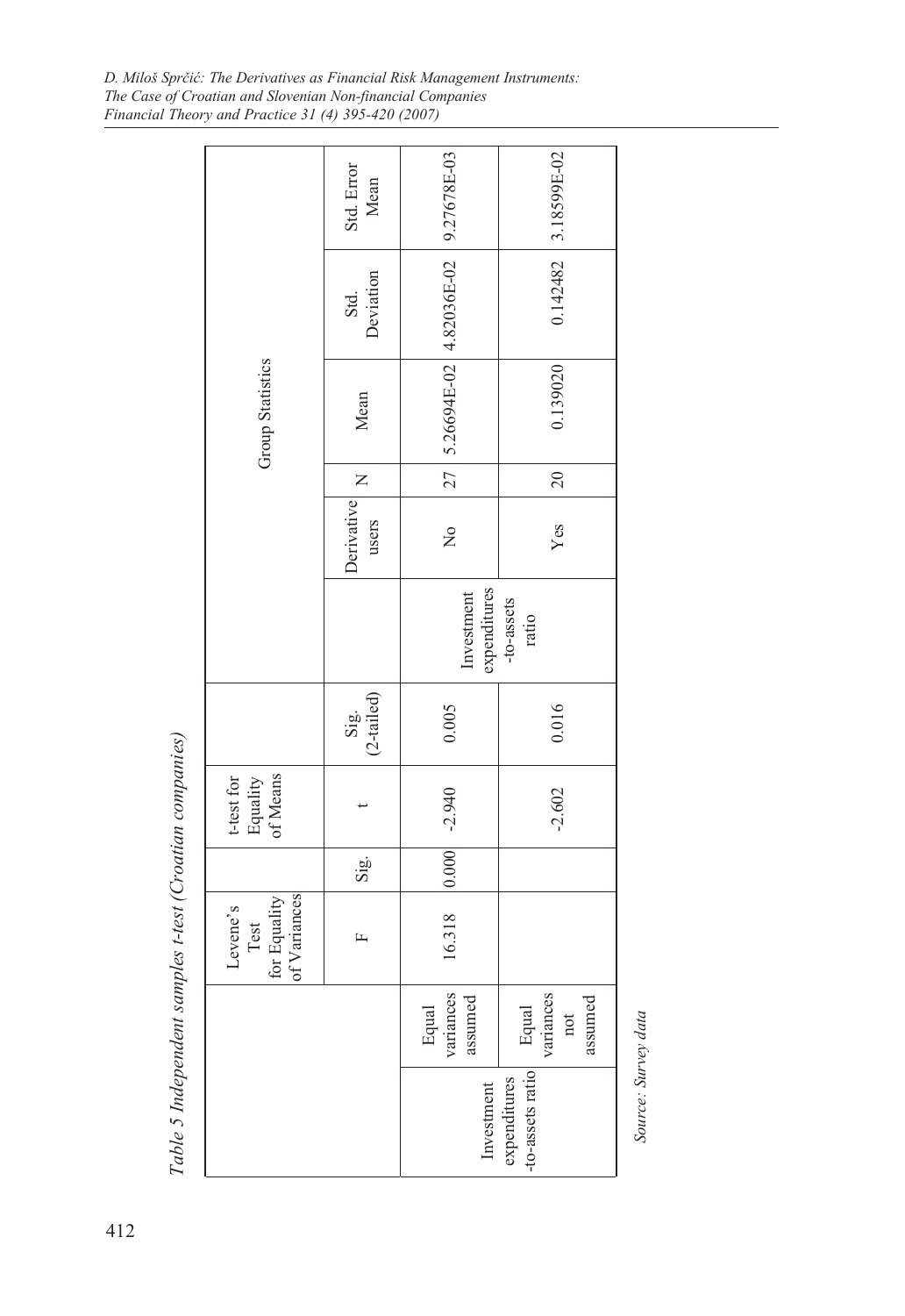*D. Miloš Sprčić: The Derivatives as Financial Risk Management Instruments: The Case of Croatian and Slovenian Non-financial Companies Financial Theory and Practice 31 (4) 395-420 (2007)*

|                                                         |                                                  | Std. Error<br>Mean  |                                                   | 3.18599E-02                          |  |  |
|---------------------------------------------------------|--------------------------------------------------|---------------------|---------------------------------------------------|--------------------------------------|--|--|
|                                                         |                                                  | Deviation<br>Std.   |                                                   | 0.142482                             |  |  |
|                                                         | Group Statistics                                 | Mean                | $27$   5.26694E-02   4.82036E-02   9.27678E-03    | 0.139020                             |  |  |
|                                                         |                                                  | $\mathsf{z}$        |                                                   | 20                                   |  |  |
|                                                         |                                                  | Derivative<br>users | $\frac{1}{2}$                                     | Yes                                  |  |  |
|                                                         |                                                  |                     | expenditures<br>Investment<br>-to-assets<br>ratio |                                      |  |  |
|                                                         |                                                  | Sig.<br>(2-tailed)  | 0.005                                             | 0.016                                |  |  |
|                                                         | of Means<br>$t$ -test for<br>Equality            |                     |                                                   | $-2.602$                             |  |  |
|                                                         |                                                  | Sig.                |                                                   |                                      |  |  |
|                                                         | of Variances<br>for Equality<br>Levene's<br>Test | 匞                   | 16.318 0.000 -2.940                               |                                      |  |  |
|                                                         |                                                  |                     | variances<br>assumed<br>Equal                     | variances<br>assumed<br>Equal<br>not |  |  |
| Table 5 Independent samples t-test (Croatian companies) |                                                  |                     | Investment                                        | -to-assets ratio<br>expenditures     |  |  |

Source: Survey data *Source: Survey data*

412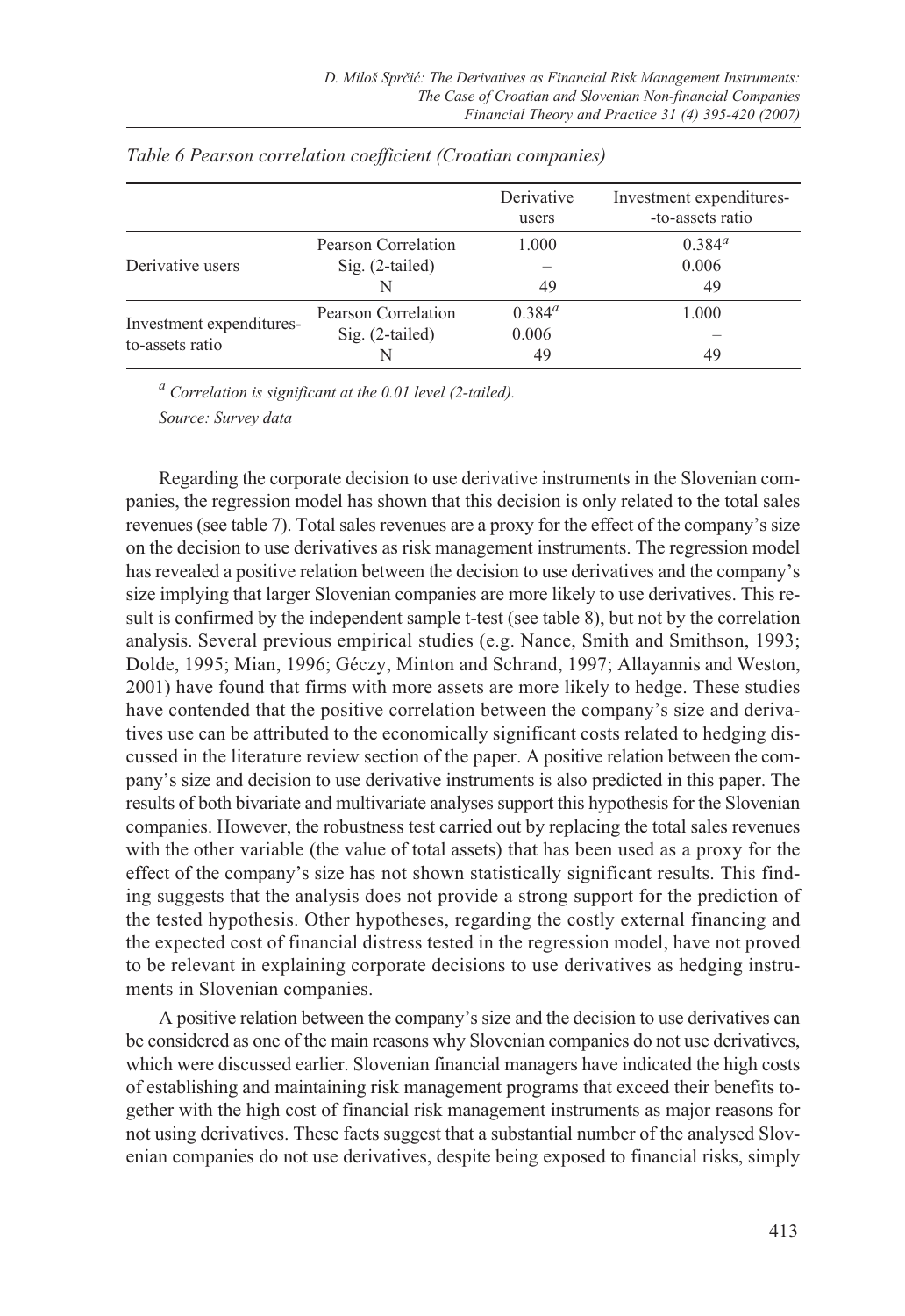|                                             |                                          | Derivative<br>users | Investment expenditures-<br>-to-assets ratio |
|---------------------------------------------|------------------------------------------|---------------------|----------------------------------------------|
| Derivative users                            | Pearson Correlation<br>$Sig. (2-tailed)$ | 1.000               | $0.384^{a}$<br>0.006                         |
|                                             |                                          | 49                  | 49                                           |
|                                             | Pearson Correlation                      | $0.384^{a}$         | 1.000                                        |
| Investment expenditures-<br>to-assets ratio | $Sig. (2-tailed)$                        | 0.006               |                                              |
|                                             |                                          | 49                  | 49                                           |

#### *Table 6 Pearson correlation coefficient (Croatian companies)*

*a Correlation is significant at the 0.01 level (2-tailed).*

*Source: Survey data*

Regarding the corporate decision to use derivative instruments in the Slovenian companies, the regression model has shown that this decision is only related to the total sales revenues (see table 7). Total sales revenues are a proxy for the effect of the company's size on the decision to use derivatives as risk management instruments. The regression model has revealed a positive relation between the decision to use derivatives and the company's size implying that larger Slovenian companies are more likely to use derivatives. This result is confirmed by the independent sample t-test (see table 8), but not by the correlation analysis. Several previous empirical studies (e.g. Nance, Smith and Smithson, 1993; Dolde, 1995; Mian, 1996; Géczy, Minton and Schrand, 1997; Allayannis and Weston, 2001) have found that firms with more assets are more likely to hedge. These studies have contended that the positive correlation between the company's size and derivatives use can be attributed to the economically significant costs related to hedging discussed in the literature review section of the paper. A positive relation between the company's size and decision to use derivative instruments is also predicted in this paper. The results of both bivariate and multivariate analyses support this hypothesis for the Slovenian companies. However, the robustness test carried out by replacing the total sales revenues with the other variable (the value of total assets) that has been used as a proxy for the effect of the company's size has not shown statistically significant results. This finding suggests that the analysis does not provide a strong support for the prediction of the tested hypothesis. Other hypotheses, regarding the costly external financing and the expected cost of financial distress tested in the regression model, have not proved to be relevant in explaining corporate decisions to use derivatives as hedging instruments in Slovenian companies.

A positive relation between the company's size and the decision to use derivatives can be considered as one of the main reasons why Slovenian companies do not use derivatives, which were discussed earlier. Slovenian financial managers have indicated the high costs of establishing and maintaining risk management programs that exceed their benefits together with the high cost of financial risk management instruments as major reasons for not using derivatives. These facts suggest that a substantial number of the analysed Slovenian companies do not use derivatives, despite being exposed to financial risks, simply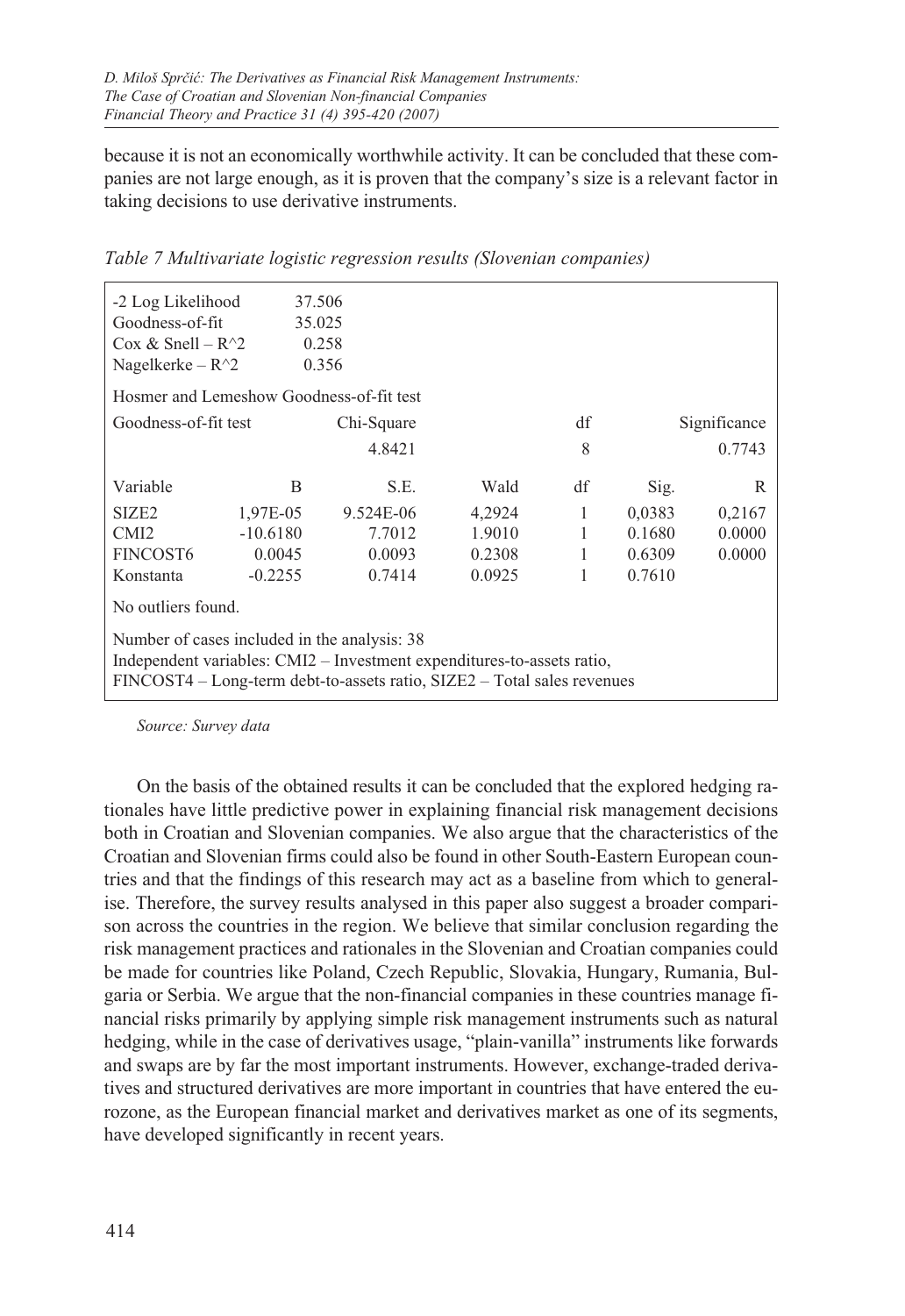because it is not an economically worthwhile activity. It can be concluded that these companies are not large enough, as it is proven that the company's size is a relevant factor in taking decisions to use derivative instruments.

| -2 Log Likelihood                            | 37.506     |                                                                                                                                                   |        |    |              |        |  |
|----------------------------------------------|------------|---------------------------------------------------------------------------------------------------------------------------------------------------|--------|----|--------------|--------|--|
| Goodness-of-fit                              | 35.025     |                                                                                                                                                   |        |    |              |        |  |
| Cox & Snell – $R^2$                          |            | 0.258                                                                                                                                             |        |    |              |        |  |
| Nagelkerke – $R^2$                           |            | 0.356                                                                                                                                             |        |    |              |        |  |
| Hosmer and Lemeshow Goodness-of-fit test     |            |                                                                                                                                                   |        |    |              |        |  |
| df<br>Goodness-of-fit test<br>Chi-Square     |            |                                                                                                                                                   |        |    | Significance |        |  |
|                                              |            | 4.8421                                                                                                                                            |        | 8  |              | 0.7743 |  |
|                                              |            |                                                                                                                                                   |        |    |              |        |  |
| Variable                                     | B          | S.E.                                                                                                                                              | Wald   | df | Sig.         | R      |  |
| SIZE <sub>2</sub>                            | 1,97E-05   | 9.524E-06                                                                                                                                         | 4,2924 | 1  | 0,0383       | 0,2167 |  |
| CM <sub>I2</sub>                             | $-10.6180$ | 7.7012                                                                                                                                            | 1.9010 | 1  | 0.1680       | 0.0000 |  |
| FINCOST <sub>6</sub>                         | 0.0045     | 0.0093                                                                                                                                            | 0.2308 | 1  | 0.6309       | 0.0000 |  |
| Konstanta                                    | $-0.2255$  | 0.7414                                                                                                                                            | 0.0925 | 1  | 0.7610       |        |  |
| No outliers found.                           |            |                                                                                                                                                   |        |    |              |        |  |
| Number of cases included in the analysis: 38 |            | Independent variables: CMI2 – Investment expenditures-to-assets ratio,<br>FINCOST4 – Long-term debt-to-assets ratio, SIZE2 – Total sales revenues |        |    |              |        |  |
|                                              |            |                                                                                                                                                   |        |    |              |        |  |

*Table 7 Multivariate logistic regression results (Slovenian companies)*

*Source: Survey data*

On the basis of the obtained results it can be concluded that the explored hedging rationales have little predictive power in explaining financial risk management decisions both in Croatian and Slovenian companies. We also argue that the characteristics of the Croatian and Slovenian firms could also be found in other South-Eastern European countries and that the findings of this research may act as a baseline from which to generalise. Therefore, the survey results analysed in this paper also suggest a broader comparison across the countries in the region. We believe that similar conclusion regarding the risk management practices and rationales in the Slovenian and Croatian companies could be made for countries like Poland, Czech Republic, Slovakia, Hungary, Rumania, Bulgaria or Serbia. We argue that the non-financial companies in these countries manage financial risks primarily by applying simple risk management instruments such as natural hedging, while in the case of derivatives usage, "plain-vanilla" instruments like forwards and swaps are by far the most important instruments. However, exchange-traded derivatives and structured derivatives are more important in countries that have entered the eurozone, as the European financial market and derivatives market as one of its segments, have developed significantly in recent years.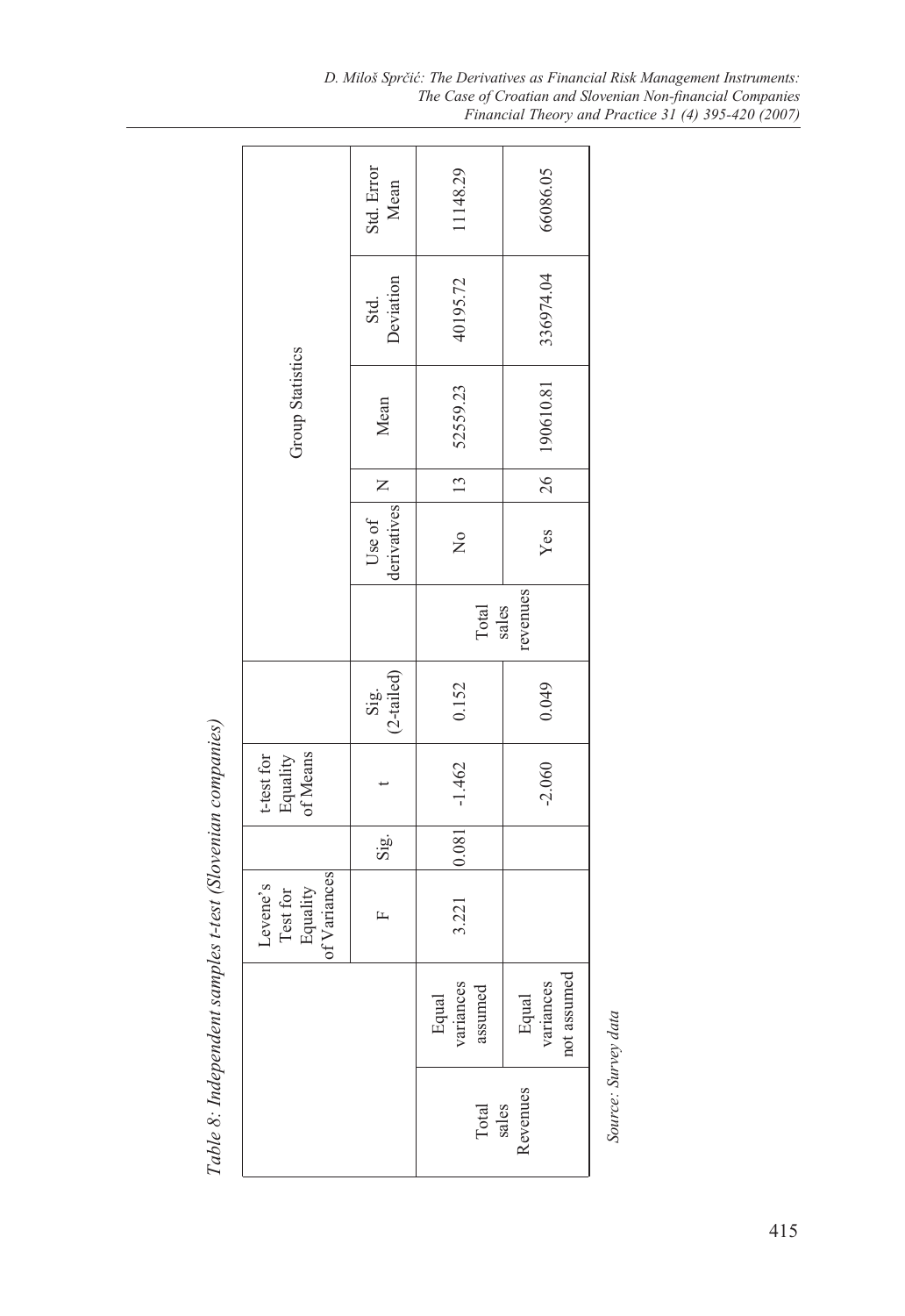|                                                  | Std. Error<br>Mean                                            | 11148.29                      | 66086.05                          |
|--------------------------------------------------|---------------------------------------------------------------|-------------------------------|-----------------------------------|
|                                                  | Deviation<br>Std.                                             | 40195.72                      | 336974.04                         |
| <b>Group Statistics</b>                          | Mean                                                          | 52559.23                      | 190610.81                         |
|                                                  |                                                               | $\frac{13}{ }$                | 26                                |
|                                                  | $\begin{array}{c c c} \text{Use of} & \textbf{N} \end{array}$ | $\frac{1}{2}$                 | Yes                               |
|                                                  |                                                               | revenues<br>Total<br>sales    |                                   |
|                                                  | Sig.<br>(2-tailed)                                            | 0.152                         | 0.049                             |
| t-test for<br>Equality<br>of Means               |                                                               | $-1.462$                      | $-2.060$                          |
|                                                  | Sig.                                                          | 0.081                         |                                   |
| Test for<br>Equality<br>of Variances<br>Levene's | 匞                                                             | 3.221                         |                                   |
|                                                  |                                                               | Equal<br>variances<br>assumed | not assumed<br>Equal<br>variances |
|                                                  |                                                               |                               | Total<br>sales<br>Revenues        |

Table 8: Independent samples t-test (Slovenian companies) *Table 8: Independent samples t-test (Slovenian companies)*

Source: Survey data *Source: Survey data*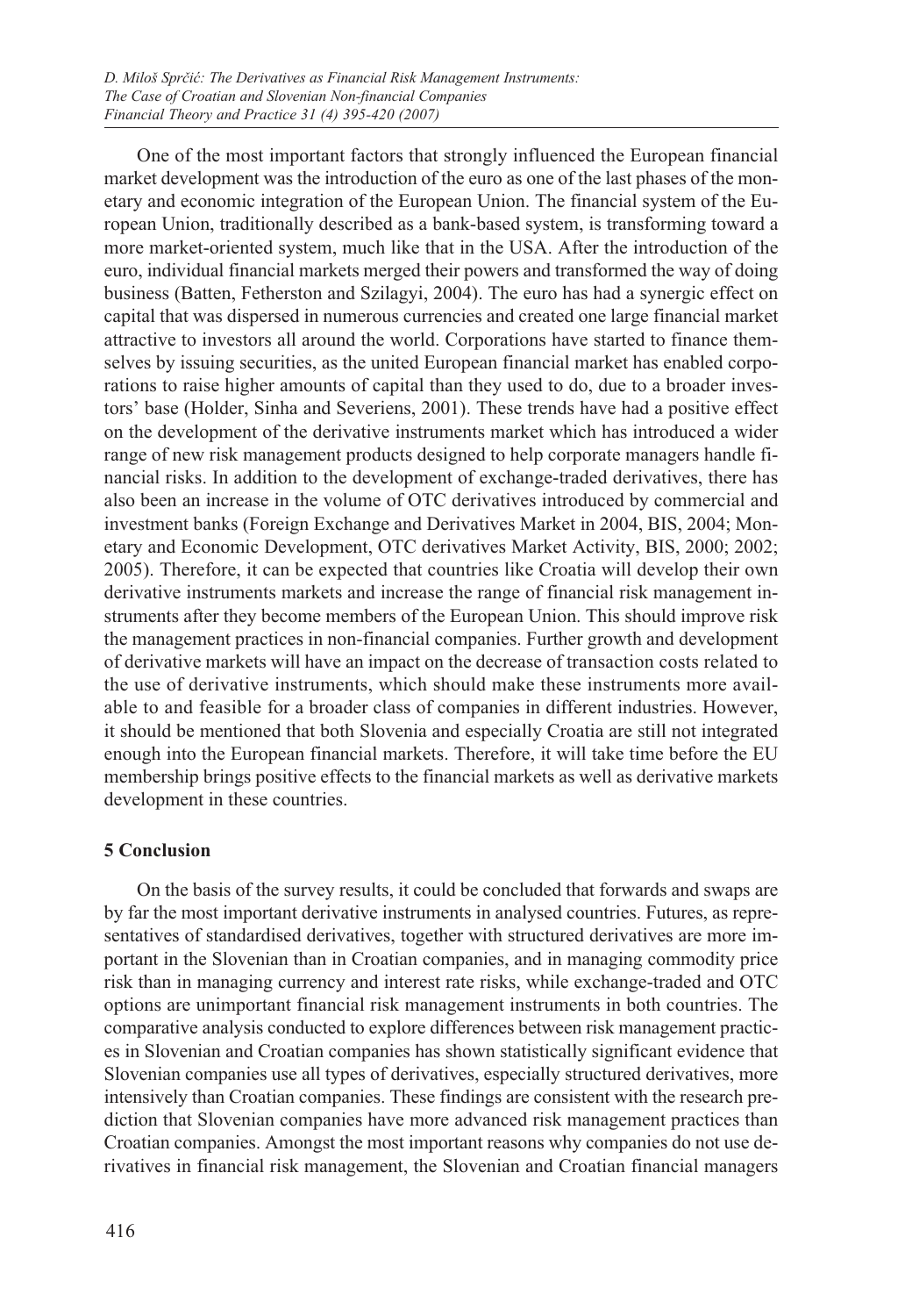One of the most important factors that strongly influenced the European financial market development was the introduction of the euro as one of the last phases of the monetary and economic integration of the European Union. The financial system of the European Union, traditionally described as a bank-based system, is transforming toward a more market-oriented system, much like that in the USA. After the introduction of the euro, individual financial markets merged their powers and transformed the way of doing business (Batten, Fetherston and Szilagyi, 2004). The euro has had a synergic effect on capital that was dispersed in numerous currencies and created one large financial market attractive to investors all around the world. Corporations have started to finance themselves by issuing securities, as the united European financial market has enabled corporations to raise higher amounts of capital than they used to do, due to a broader investors' base (Holder, Sinha and Severiens, 2001). These trends have had a positive effect on the development of the derivative instruments market which has introduced a wider range of new risk management products designed to help corporate managers handle financial risks. In addition to the development of exchange-traded derivatives, there has also been an increase in the volume of OTC derivatives introduced by commercial and investment banks (Foreign Exchange and Derivatives Market in 2004, BIS, 2004; Monetary and Economic Development, OTC derivatives Market Activity, BIS, 2000; 2002; 2005). Therefore, it can be expected that countries like Croatia will develop their own derivative instruments markets and increase the range of financial risk management instruments after they become members of the European Union. This should improve risk the management practices in non-financial companies. Further growth and development of derivative markets will have an impact on the decrease of transaction costs related to the use of derivative instruments, which should make these instruments more available to and feasible for a broader class of companies in different industries. However, it should be mentioned that both Slovenia and especially Croatia are still not integrated enough into the European financial markets. Therefore, it will take time before the EU membership brings positive effects to the financial markets as well as derivative markets development in these countries.

## **5 Conclusion**

On the basis of the survey results, it could be concluded that forwards and swaps are by far the most important derivative instruments in analysed countries. Futures, as representatives of standardised derivatives, together with structured derivatives are more important in the Slovenian than in Croatian companies, and in managing commodity price risk than in managing currency and interest rate risks, while exchange-traded and OTC options are unimportant financial risk management instruments in both countries. The comparative analysis conducted to explore differences between risk management practices in Slovenian and Croatian companies has shown statistically significant evidence that Slovenian companies use all types of derivatives, especially structured derivatives, more intensively than Croatian companies. These findings are consistent with the research prediction that Slovenian companies have more advanced risk management practices than Croatian companies. Amongst the most important reasons why companies do not use derivatives in financial risk management, the Slovenian and Croatian financial managers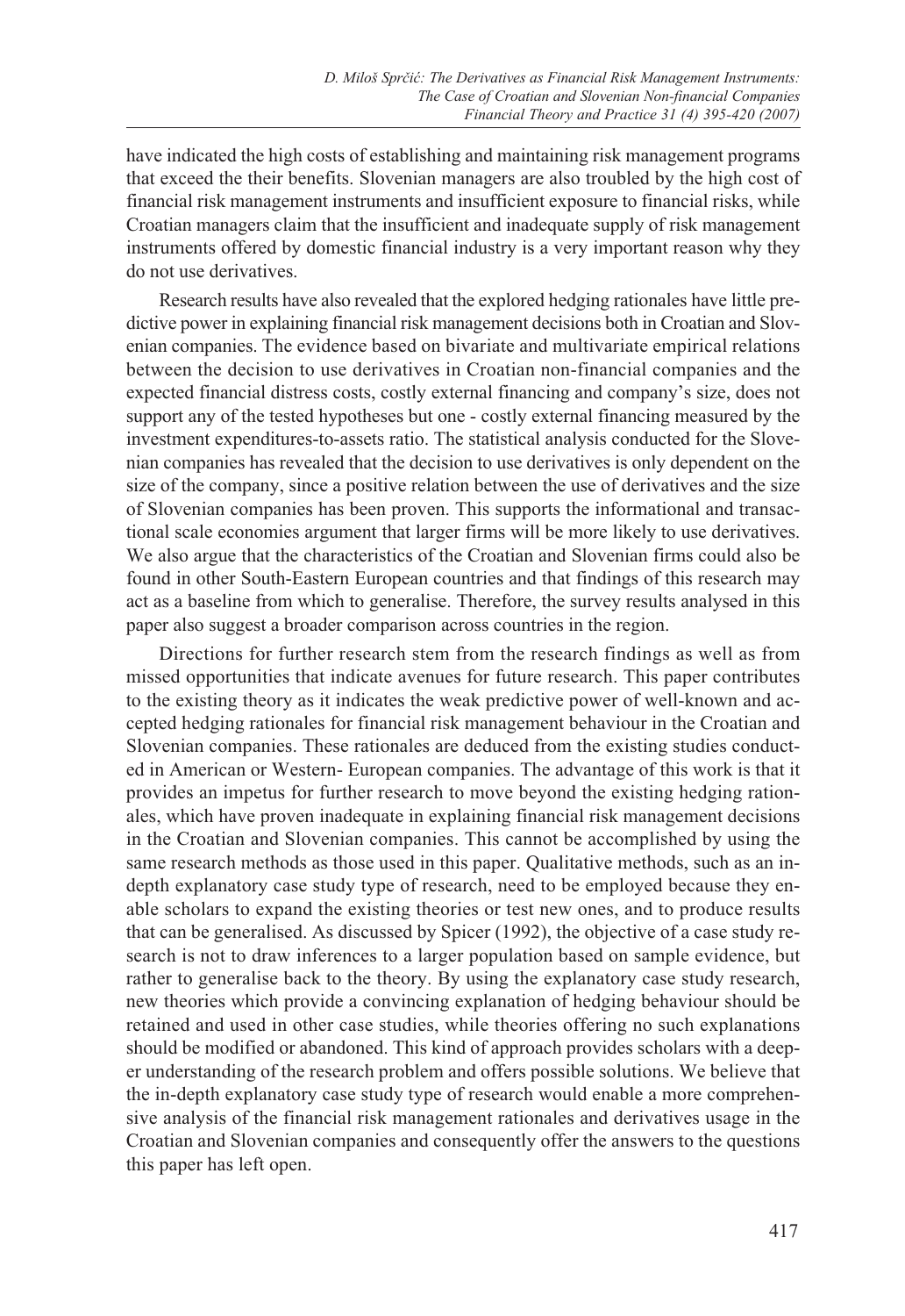have indicated the high costs of establishing and maintaining risk management programs that exceed the their benefits. Slovenian managers are also troubled by the high cost of financial risk management instruments and insufficient exposure to financial risks, while Croatian managers claim that the insufficient and inadequate supply of risk management instruments offered by domestic financial industry is a very important reason why they do not use derivatives.

Research results have also revealed that the explored hedging rationales have little predictive power in explaining financial risk management decisions both in Croatian and Slovenian companies. The evidence based on bivariate and multivariate empirical relations between the decision to use derivatives in Croatian non-financial companies and the expected financial distress costs, costly external financing and company's size, does not support any of the tested hypotheses but one - costly external financing measured by the investment expenditures-to-assets ratio. The statistical analysis conducted for the Slovenian companies has revealed that the decision to use derivatives is only dependent on the size of the company, since a positive relation between the use of derivatives and the size of Slovenian companies has been proven. This supports the informational and transactional scale economies argument that larger firms will be more likely to use derivatives. We also argue that the characteristics of the Croatian and Slovenian firms could also be found in other South-Eastern European countries and that findings of this research may act as a baseline from which to generalise. Therefore, the survey results analysed in this paper also suggest a broader comparison across countries in the region.

Directions for further research stem from the research findings as well as from missed opportunities that indicate avenues for future research. This paper contributes to the existing theory as it indicates the weak predictive power of well-known and accepted hedging rationales for financial risk management behaviour in the Croatian and Slovenian companies. These rationales are deduced from the existing studies conducted in American or Western- European companies. The advantage of this work is that it provides an impetus for further research to move beyond the existing hedging rationales, which have proven inadequate in explaining financial risk management decisions in the Croatian and Slovenian companies. This cannot be accomplished by using the same research methods as those used in this paper. Qualitative methods, such as an indepth explanatory case study type of research, need to be employed because they enable scholars to expand the existing theories or test new ones, and to produce results that can be generalised. As discussed by Spicer (1992), the objective of a case study research is not to draw inferences to a larger population based on sample evidence, but rather to generalise back to the theory. By using the explanatory case study research, new theories which provide a convincing explanation of hedging behaviour should be retained and used in other case studies, while theories offering no such explanations should be modified or abandoned. This kind of approach provides scholars with a deeper understanding of the research problem and offers possible solutions. We believe that the in-depth explanatory case study type of research would enable a more comprehensive analysis of the financial risk management rationales and derivatives usage in the Croatian and Slovenian companies and consequently offer the answers to the questions this paper has left open.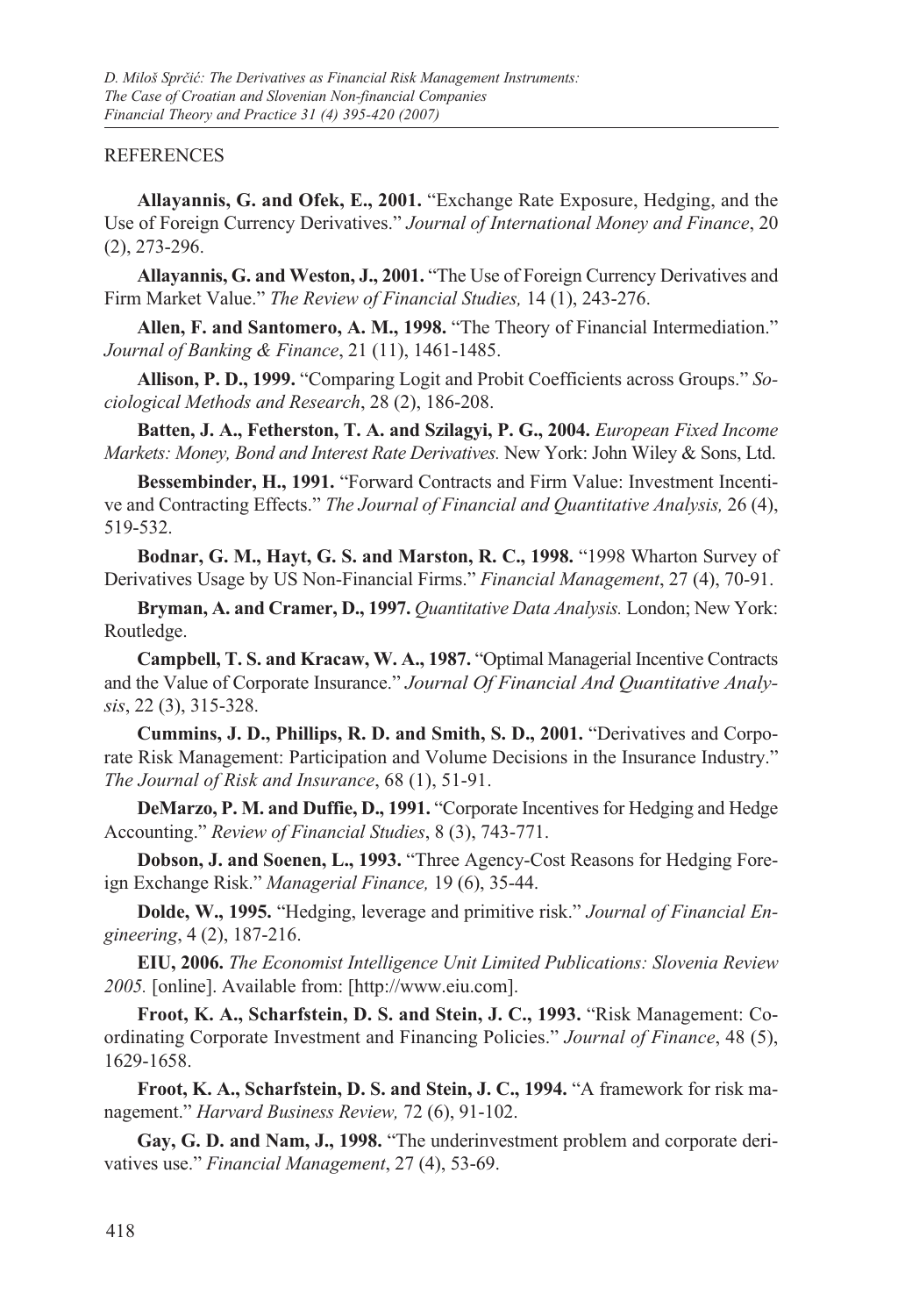#### **REFERENCES**

**Allayannis, G. and Ofek, E., 2001.** "Exchange Rate Exposure, Hedging, and the Use of Foreign Currency Derivatives." *Journal of International Money and Finance*, 20 (2), 273-296.

**Allayannis, G. and Weston, J., 2001.** "The Use of Foreign Currency Derivatives and Firm Market Value." *The Review of Financial Studies,* 14 (1), 243-276.

**Allen, F. and Santomero, A. M., 1998.** "The Theory of Financial Intermediation." *Journal of Banking & Finance*, 21 (11), 1461-1485.

**Allison, P. D., 1999.** "Comparing Logit and Probit Coefficients across Groups." *Sociological Methods and Research*, 28 (2), 186-208.

**Batten, J. A., Fetherston, T. A. and Szilagyi, P. G., 2004.** *European Fixed Income Markets: Money, Bond and Interest Rate Derivatives.* New York: John Wiley & Sons, Ltd.

**Bessembinder, H., 1991.** "Forward Contracts and Firm Value: Investment Incentive and Contracting Effects." *The Journal of Financial and Quantitative Analysis,* 26 (4), 519-532.

**Bodnar, G. M., Hayt, G. S. and Marston, R. C., 1998.** "1998 Wharton Survey of Derivatives Usage by US Non-Financial Firms." *Financial Management*, 27 (4), 70-91.

**Bryman, A. and Cramer, D., 1997.** *Quantitative Data Analysis.* London; New York: Routledge.

**Campbell, T. S. and Kracaw, W. A., 1987.** "Optimal Managerial Incentive Contracts and the Value of Corporate Insurance." *Journal Of Financial And Quantitative Analysis*, 22 (3), 315-328.

**Cummins, J. D., Phillips, R. D. and Smith, S. D., 2001.** "Derivatives and Corporate Risk Management: Participation and Volume Decisions in the Insurance Industry." *The Journal of Risk and Insurance*, 68 (1), 51-91.

**DeMarzo, P. M. and Duffie, D., 1991.** "Corporate Incentives for Hedging and Hedge Accounting." *Review of Financial Studies*, 8 (3), 743-771.

**Dobson, J. and Soenen, L., 1993.** "Three Agency-Cost Reasons for Hedging Foreign Exchange Risk." *Managerial Finance,* 19 (6), 35-44.

**Dolde, W., 1995.** "Hedging, leverage and primitive risk." *Journal of Financial Engineering*, 4 (2), 187-216.

**EIU, 2006.** *The Economist Intelligence Unit Limited Publications: Slovenia Review 2005.* [online]. Available from: [http://www.eiu.com].

**Froot, K. A., Scharfstein, D. S. and Stein, J. C., 1993.** "Risk Management: Coordinating Corporate Investment and Financing Policies." *Journal of Finance*, 48 (5), 1629-1658.

**Froot, K. A., Scharfstein, D. S. and Stein, J. C., 1994.** "A framework for risk management." *Harvard Business Review,* 72 (6), 91-102.

**Gay, G. D. and Nam, J., 1998.** "The underinvestment problem and corporate derivatives use." *Financial Management*, 27 (4), 53-69.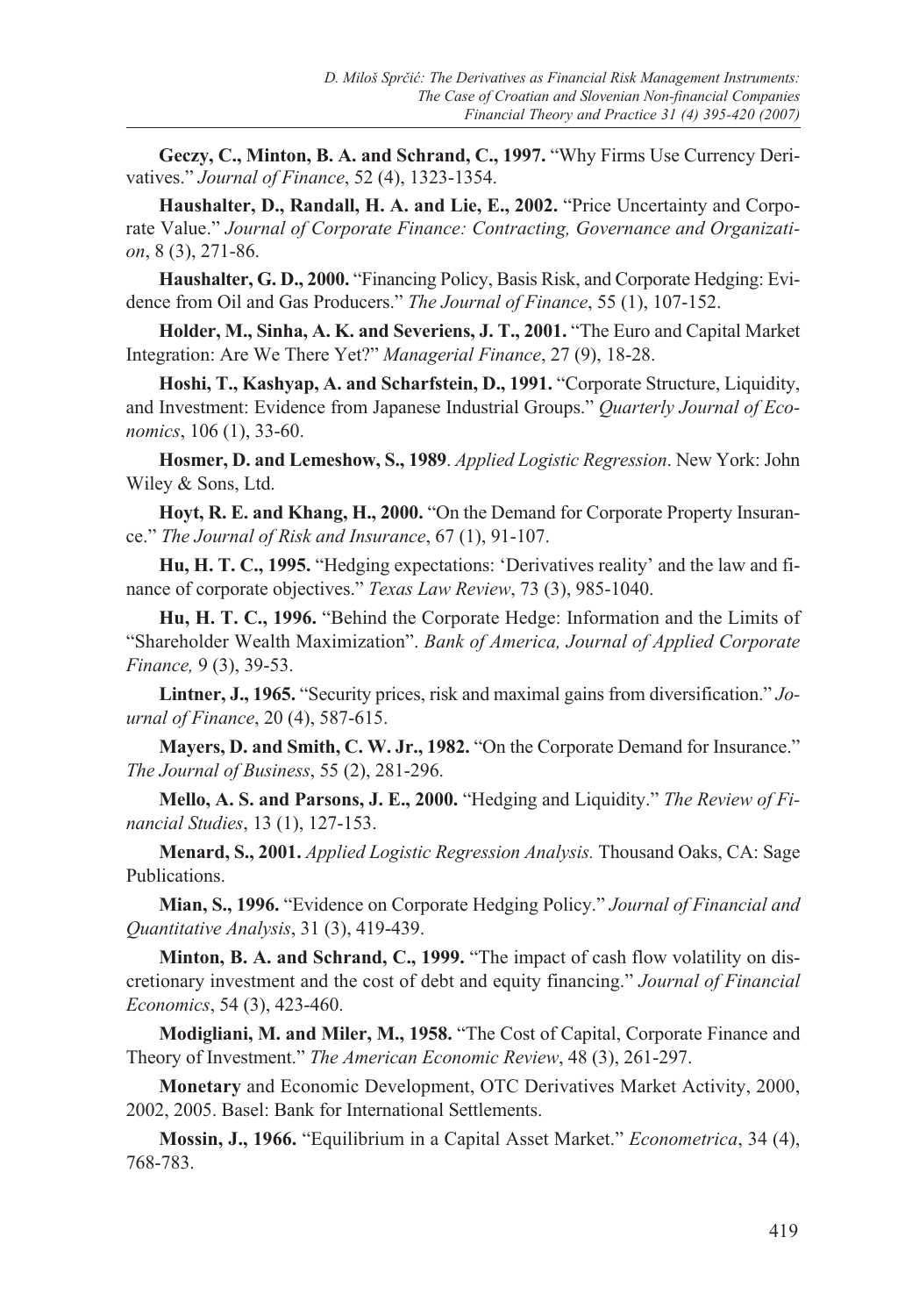**Geczy, C., Minton, B. A. and Schrand, C., 1997.** "Why Firms Use Currency Derivatives." *Journal of Finance*, 52 (4), 1323-1354.

**Haushalter, D., Randall, H. A. and Lie, E., 2002.** "Price Uncertainty and Corporate Value." *Journal of Corporate Finance: Contracting, Governance and Organization*, 8 (3), 271-86.

**Haushalter, G. D., 2000.** "Financing Policy, Basis Risk, and Corporate Hedging: Evidence from Oil and Gas Producers." *The Journal of Finance*, 55 (1), 107-152.

**Holder, M., Sinha, A. K. and Severiens, J. T., 2001.** "The Euro and Capital Market Integration: Are We There Yet?" *Managerial Finance*, 27 (9), 18-28.

**Hoshi, T., Kashyap, A. and Scharfstein, D., 1991.** "Corporate Structure, Liquidity, and Investment: Evidence from Japanese Industrial Groups." *Quarterly Journal of Economics*, 106 (1), 33-60.

**Hosmer, D. and Lemeshow, S., 1989**. *Applied Logistic Regression*. New York: John Wiley & Sons, Ltd.

**Hoyt, R. E. and Khang, H., 2000.** "On the Demand for Corporate Property Insurance." *The Journal of Risk and Insurance*, 67 (1), 91-107.

**Hu, H. T. C., 1995.** "Hedging expectations: 'Derivatives reality' and the law and finance of corporate objectives." *Texas Law Review*, 73 (3), 985-1040.

**Hu, H. T. C., 1996.** "Behind the Corporate Hedge: Information and the Limits of "Shareholder Wealth Maximization". *Bank of America, Journal of Applied Corporate Finance,* 9 (3), 39-53.

**Lintner, J., 1965.** "Security prices, risk and maximal gains from diversification." *Journal of Finance*, 20 (4), 587-615.

**Mayers, D. and Smith, C. W. Jr., 1982.** "On the Corporate Demand for Insurance." *The Journal of Business*, 55 (2), 281-296.

**Mello, A. S. and Parsons, J. E., 2000.** "Hedging and Liquidity." *The Review of Financial Studies*, 13 (1), 127-153.

**Menard, S., 2001.** *Applied Logistic Regression Analysis.* Thousand Oaks, CA: Sage Publications.

**Mian, S., 1996.** "Evidence on Corporate Hedging Policy." *Journal of Financial and Quantitative Analysis*, 31 (3), 419-439.

**Minton, B. A. and Schrand, C., 1999.** "The impact of cash flow volatility on discretionary investment and the cost of debt and equity financing." *Journal of Financial Economics*, 54 (3), 423-460.

**Modigliani, M. and Miler, M., 1958.** "The Cost of Capital, Corporate Finance and Theory of Investment." *The American Economic Review*, 48 (3), 261-297.

**Monetary** and Economic Development, OTC Derivatives Market Activity, 2000, 2002, 2005. Basel: Bank for International Settlements.

**Mossin, J., 1966.** "Equilibrium in a Capital Asset Market." *Econometrica*, 34 (4), 768-783.